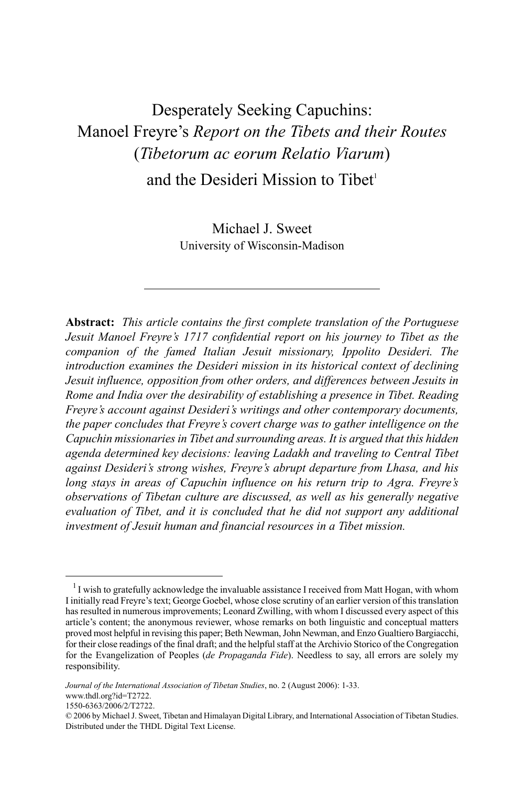# Desperately Seeking Capuchins: Manoel Freyre's *Report on the Tibets and their Routes* (*Tibetorum ac eorum Relatio Viarum*) and the Desideri Mission to Tibet<sup>[1](#page-0-0)</sup>

Michael J. Sweet University of Wisconsin-Madison

**Abstract:** *This article contains the first complete translation of the Portuguese Jesuit Manoel Freyre's 1717 confidential report on his journey to Tibet as the companion of the famed Italian Jesuit missionary, Ippolito Desideri. The introduction examines the Desideri mission in its historical context of declining Jesuit influence, opposition from other orders, and differences between Jesuits in Rome and India over the desirability of establishing a presence in Tibet. Reading Freyre's account against Desideri's writings and other contemporary documents, the paper concludes that Freyre's covert charge was to gather intelligence on the Capuchin missionariesinTibet and surrounding areas. It is argued that this hidden agenda determined key decisions: leaving Ladakh and traveling to Central Tibet against Desideri's strong wishes, Freyre's abrupt departure from Lhasa, and his long stays in areas of Capuchin influence on his return trip to Agra. Freyre's observations of Tibetan culture are discussed, as well as his generally negative evaluation of Tibet, and it is concluded that he did not support any additional investment of Jesuit human and financial resources in a Tibet mission.*

<span id="page-0-0"></span> $1$ I wish to gratefully acknowledge the invaluable assistance I received from Matt Hogan, with whom I initially read Freyre's text; George Goebel, whose close scrutiny of an earlier version of this translation has resulted in numerous improvements; Leonard Zwilling, with whom I discussed every aspect of this article's content; the anonymous reviewer, whose remarks on both linguistic and conceptual matters proved most helpful in revising this paper; Beth Newman,John Newman, and Enzo Gualtiero Bargiacchi, for their close readings of the final draft; and the helpful staff at the Archivio Storico of the Congregation for the Evangelization of Peoples (*de Propaganda Fide*). Needless to say, all errors are solely my responsibility.

*Journal of the International Association of Tibetan Studies*, no. 2 (August 2006): 1-33. [www.thdl.org?id=T2722](http://www.thdl.org?id=T2722).

<sup>1550-6363/2006/2/</sup>T2722.

<sup>©</sup> 2006 by MichaelJ. Sweet, Tibetan and Himalayan Digital Library, and International Association of Tibetan Studies. Distributed under the THDL Digital Text [License.](http://www.thdl.org/xml/showEssay.php?xml=/tools/THDLTextLicense.xml)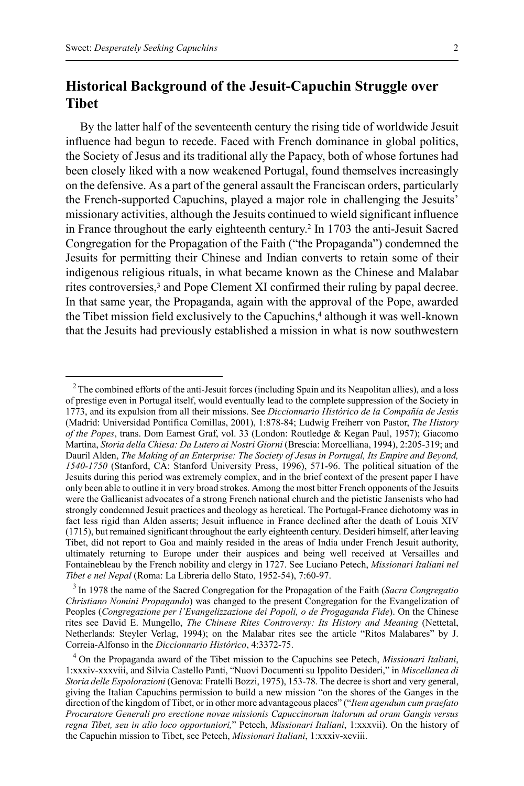# **Historical Background of the Jesuit-Capuchin Struggle over Tibet**

By the latter half of the seventeenth century the rising tide of worldwide Jesuit influence had begun to recede. Faced with French dominance in global politics, the Society of Jesus and its traditional ally the Papacy, both of whose fortunes had been closely liked with a now weakened Portugal, found themselves increasingly on the defensive. As a part of the general assault theFranciscan orders, particularly the French-supported Capuchins, played a major role in challenging the Jesuits' missionary activities, although the Jesuits continued to wield significant influence in France throughout the early eighteenth century. [2](#page-1-0) In 1703 the anti-Jesuit Sacred Congregation for the Propagation of the Faith ("the Propaganda") condemned the Jesuits for permitting their Chinese and Indian converts to retain some of their indigenous religious rituals, in what became known as the Chinese and Malabar rites controversies,[3](#page-1-1) and Pope Clement XI confirmed their ruling by papal decree. In that same year, the Propaganda, again with the approval of the Pope, awarded the Tibet mission field exclusively to the Capuchins,[4](#page-1-2) although it was well-known that the Jesuits had previously established a mission in what is now southwestern

<span id="page-1-0"></span><sup>&</sup>lt;sup>2</sup> The combined efforts of the anti-Jesuit forces (including Spain and its Neapolitan allies), and a loss of prestige even in Portugal itself, would eventually lead to the complete suppression of the Society in 1773, and its expulsion from all their missions. See *Diccionnario Histórico de la Compañía de Jesús* (Madrid: Universidad Pontifica Comillas, 2001), 1:878-84; Ludwig Freiherr von Pastor, *The History of the Popes*, trans. Dom Earnest Graf, vol. 33 (London: Routledge & Kegan Paul, 1957); Giacomo Martina, *Storia della Chiesa: Da Lutero ai Nostri Giorni* (Brescia: Morcelliana, 1994), 2:205-319; and Dauril Alden, *The Making of an Enterprise: The Society of Jesus in Portugal, Its Empire and Beyond, 1540-1750* (Stanford, CA: Stanford University Press, 1996), 571-96. The political situation of the Jesuits during this period was extremely complex, and in the brief context of the present paper I have only been able to outline it in very broad strokes. Among the most bitter French opponents of the Jesuits were the Gallicanist advocates of a strong French national church and the pietistic Jansenists who had strongly condemned Jesuit practices and theology as heretical. The Portugal-France dichotomy was in fact less rigid than Alden asserts; Jesuit influence in France declined after the death of Louis XIV (1715), but remained significant throughout the early eighteenth century. Desideri himself, after leaving Tibet, did not report to Goa and mainly resided in the areas of India under French Jesuit authority, ultimately returning to Europe under their auspices and being well received at Versailles and Fontainebleau by the French nobility and clergy in 1727. See Luciano Petech, *Missionari Italiani nel Tibet e nel Nepal* (Roma: La Libreria dello Stato, 1952-54), 7:60-97.

<span id="page-1-2"></span><span id="page-1-1"></span><sup>3</sup> In 1978 the name of the Sacred Congregation for the Propagation of the Faith (*Sacra Congregatio Christiano Nomini Propagando*) was changed to the present Congregation for the Evangelization of Peoples (*Congregazione per l'Evangelizzazione dei Popoli, o de Progaganda Fide*). On the Chinese rites see David E. Mungello, *The Chinese Rites Controversy: Its History and Meaning* (Nettetal, Netherlands: Steyler Verlag, 1994); on the Malabar rites see the article "Ritos Malabares" by J. Correia-Alfonso in the *Diccionnario Histórico*, 4:3372-75.

<sup>4</sup> On the Propaganda award of the Tibet mission to the Capuchins see Petech, *Missionari Italiani*, 1:xxxiv-xxxviii, and Silvia Castello Panti, "Nuovi Documenti su Ippolito Desideri," in *Miscellanea di Storia delle Espolorazioni* (Genova: Fratelli Bozzi, 1975), 153-78. The decree isshort and very general, giving the Italian Capuchins permission to build a new mission "on the shores of the Ganges in the direction of the kingdom of Tibet, or in other more advantageous places" ("*Item agendum cum praefato Procuratore Generali pro erectione novae missionis Capuccinorum italorum ad oram Gangis versus regna Tibet, seu in alio loco opportuniori,*" Petech, *Missionari Italiani*, 1:xxxvii). On the history of the Capuchin mission to Tibet, see Petech, *Missionari Italiani*, 1:xxxiv-xcviii.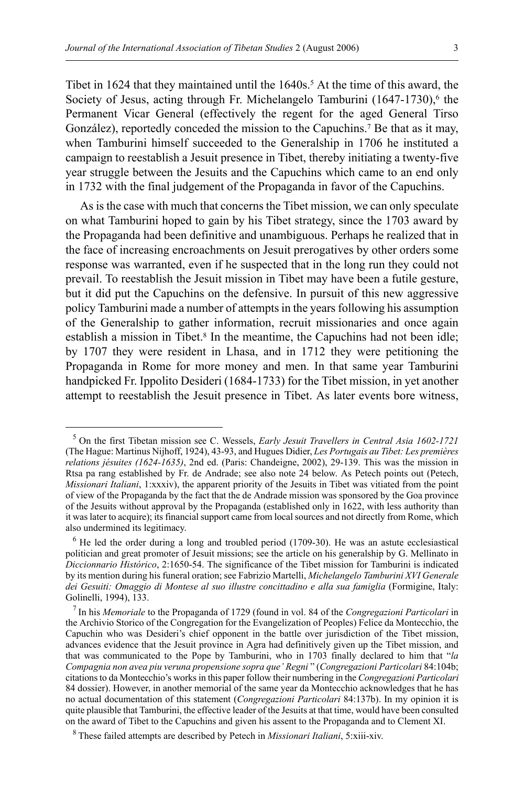Tibet in 1624 that they maintained until the 1640s.<sup>[5](#page-2-0)</sup> At the time of this award, the Society of Jesus, acting through Fr. Michelangelo Tamburini (1[6](#page-2-1)47-1730),<sup>6</sup> the Permanent Vicar General (effectively the regent for the aged General Tirso González), reportedly conceded the mission to the Capuchins.<sup>[7](#page-2-2)</sup> Be that as it may, when Tamburini himself succeeded to the Generalship in 1706 he instituted a campaign to reestablish a Jesuit presence in Tibet, thereby initiating a twenty-five year struggle between the Jesuits and the Capuchins which came to an end only in 1732 with the final judgement of the Propaganda in favor of the Capuchins.

As is the case with much that concerns the Tibet mission, we can only speculate on what Tamburini hoped to gain by his Tibet strategy, since the 1703 award by the Propaganda had been definitive and unambiguous. Perhaps he realized that in the face of increasing encroachments on Jesuit prerogatives by other orders some response was warranted, even if he suspected that in the long run they could not prevail. To reestablish the Jesuit mission in Tibet may have been a futile gesture, but it did put the Capuchins on the defensive. In pursuit of this new aggressive policy Tamburini made a number of attemptsin the yearsfollowing his assumption of the Generalship to gather information, recruit missionaries and once again establish a mission in Tibet.<sup>[8](#page-2-3)</sup> In the meantime, the Capuchins had not been idle; by 1707 they were resident in Lhasa, and in 1712 they were petitioning the Propaganda in Rome for more money and men. In that same year Tamburini handpicked Fr. Ippolito Desideri (1684-1733) for the Tibet mission, in yet another attempt to reestablish the Jesuit presence in Tibet. As later events bore witness,

<span id="page-2-1"></span><span id="page-2-0"></span><sup>5</sup> On the first Tibetan mission see C. Wessels, *Early Jesuit Travellers in Central Asia 1602-1721* (The Hague: Martinus Nijhoff, 1924), 43-93, and Hugues Didier, *Les Portugais au Tibet: Les premières relations jésuites (1624-1635)*, 2nd ed. (Paris: Chandeigne, 2002), 29-139. This was the mission in Rtsa pa rang established by Fr. de Andrade; see also note 24 below. As Petech points out (Petech, *Missionari Italiani*, 1:xxxiv), the apparent priority of the Jesuits in Tibet was vitiated from the point of view of the Propaganda by the fact that the de Andrade mission was sponsored by the Goa province of the Jesuits without approval by the Propaganda (established only in 1622, with less authority than it was later to acquire); its financial support came from local sources and not directly from Rome, which also undermined its legitimacy.

<span id="page-2-2"></span> $6$  He led the order during a long and troubled period (1709-30). He was an astute ecclesiastical politician and great promoter of Jesuit missions; see the article on his generalship by G. Mellinato in *Diccionnario Histórico*, 2:1650-54. The significance of the Tibet mission for Tamburini is indicated by its mention during his funeral oration; see Fabrizio Martelli, *Michelangelo Tamburini XVI Generale dei Gesuiti: Omaggio di Montese al suo illustre concittadino e alla sua famiglia* (Formigine, Italy: Golinelli, 1994), 133.

<span id="page-2-3"></span><sup>7</sup> In his *Memoriale* to the Propaganda of 1729 (found in vol. 84 of the *Congregazioni Particolari* in the Archivio Storico of the Congregation for the Evangelization of Peoples) Felice da Montecchio, the Capuchin who was Desideri's chief opponent in the battle over jurisdiction of the Tibet mission, advances evidence that the Jesuit province in Agra had definitively given up the Tibet mission, and that was communicated to the Pope by Tamburini, who in 1703 finally declared to him that "*la Compagnia non avea piu veruna propensione sopra que' Regni* " (*Congregazioni Particolari* 84:104b; citationsto da Montecchio's worksin this paper follow their numbering in the *Congregazioni Particolari* 84 dossier). However, in another memorial of the same year da Montecchio acknowledges that he has no actual documentation of this statement (*Congregazioni Particolari* 84:137b). In my opinion it is quite plausible that Tamburini, the effective leader of the Jesuits at that time, would have been consulted on the award of Tibet to the Capuchins and given his assent to the Propaganda and to Clement XI.

<sup>8</sup> These failed attempts are described by Petech in *Missionari Italiani*, 5:xiii-xiv.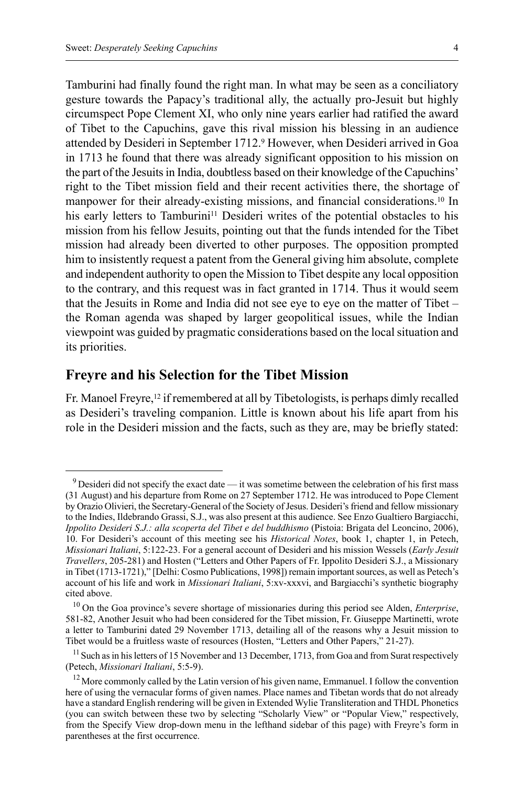Tamburini had finally found the right man. In what may be seen as a conciliatory gesture towards the Papacy's traditional ally, the actually pro-Jesuit but highly circumspect Pope Clement XI, who only nine years earlier had ratified the award of Tibet to the Capuchins, gave this rival mission his blessing in an audience attended by Desideri in September 1712.[9](#page-3-0) However, when Desideri arrived in Goa in 1713 he found that there was already significant opposition to his mission on the part of the Jesuitsin India, doubtless based on their knowledge of the Capuchins' right to the Tibet mission field and their recent activities there, the shortage of manpower for their already-existing missions, and financial considerations.[10](#page-3-1) In his early letters to Tamburini<sup>[11](#page-3-2)</sup> Desideri writes of the potential obstacles to his mission from his fellow Jesuits, pointing out that the funds intended for the Tibet mission had already been diverted to other purposes. The opposition prompted him to insistently request a patent from the General giving him absolute, complete and independent authority to open the Mission to Tibet despite any local opposition to the contrary, and this request was in fact granted in 1714. Thus it would seem that the Jesuits in Rome and India did not see eye to eye on the matter of Tibet – the Roman agenda was shaped by larger geopolitical issues, while the Indian viewpoint was guided by pragmatic considerations based on the localsituation and its priorities.

### **Freyre and his Selection for the Tibet Mission**

<span id="page-3-0"></span>Fr. Manoel Freyre,<sup>[12](#page-3-3)</sup> if remembered at all by Tibetologists, is perhaps dimly recalled as Desideri's traveling companion. Little is known about his life apart from his role in the Desideri mission and the facts, such as they are, may be briefly stated:

<span id="page-3-1"></span> $9$  Desideri did not specify the exact date — it was sometime between the celebration of his first mass (31 August) and his departure from Rome on 27 September 1712. He was introduced to Pope Clement by Orazio Olivieri, the Secretary-General of the Society of Jesus. Desideri's friend and fellow missionary to the Indies, Ildebrando Grassi, S.J., was also present at this audience. See Enzo Gualtiero Bargiacchi, *Ippolito Desideri S.J.: alla scoperta del Tibet e del buddhismo* (Pistoia: Brigata del Leoncino, 2006), 10. For Desideri's account of this meeting see his *Historical Notes*, book 1, chapter 1, in Petech, *Missionari Italiani*, 5:122-23. For a general account of Desideri and his mission Wessels (*Early Jesuit Travellers*, 205-281) and Hosten ("Letters and Other Papers of Fr. Ippolito Desideri S.J., a Missionary in Tibet (1713-1721)," [Delhi: Cosmo Publications, 1998]) remain important sources, as well as Petech's account of his life and work in *Missionari Italiani*, 5:xv-xxxvi, and Bargiacchi's synthetic biography cited above.

<span id="page-3-3"></span><span id="page-3-2"></span><sup>10</sup> On the Goa province's severe shortage of missionaries during this period see Alden, *Enterprise*, 581-82, Another Jesuit who had been considered for the Tibet mission, Fr. Giuseppe Martinetti, wrote a letter to Tamburini dated 29 November 1713, detailing all of the reasons why a Jesuit mission to Tibet would be a fruitless waste of resources (Hosten, "Letters and Other Papers," 21-27).

<sup>&</sup>lt;sup>11</sup> Such as in his letters of 15 November and 13 December, 1713, from Goa and from Surat respectively (Petech, *Missionari Italiani*, 5:5-9).

<sup>&</sup>lt;sup>12</sup> More commonly called by the Latin version of his given name, Emmanuel. I follow the convention here of using the vernacular forms of given names. Place names and Tibetan words that do not already have a standard English rendering will be given in Extended Wylie Transliteration and THDL Phonetics (you can switch between these two by selecting "Scholarly View" or "Popular View," respectively, from the Specify View drop-down menu in the lefthand sidebar of this page) with Freyre's form in parentheses at the first occurrence.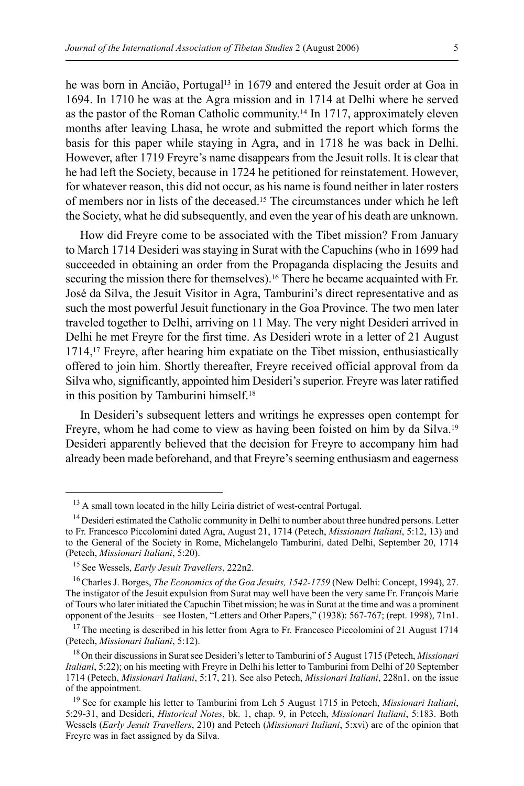he was born in Ancião, Portugal<sup>[13](#page-4-0)</sup> in 1679 and entered the Jesuit order at Goa in 1694. In 1710 he was at the Agra mission and in 1714 at Delhi where he served as the pastor of the Roman Catholic community. [14](#page-4-1) In 1717, approximately eleven months after leaving Lhasa, he wrote and submitted the report which forms the basis for this paper while staying in Agra, and in 1718 he was back in Delhi. However, after 1719 Freyre's name disappears from the Jesuit rolls. It is clear that he had left the Society, because in 1724 he petitioned for reinstatement. However, for whatever reason, this did not occur, as his name is found neither in later rosters of members nor in lists of the deceased.[15](#page-4-2) The circumstances under which he left the Society, what he did subsequently, and even the year of his death are unknown.

How did Freyre come to be associated with the Tibet mission? From January to March 1714 Desideri was staying inSurat with the Capuchins (who in 1699 had succeeded in obtaining an order from the Propaganda displacing the Jesuits and securing the mission there for themselves).<sup>[16](#page-4-3)</sup> There he became acquainted with Fr. José da Silva, the Jesuit Visitor in Agra, Tamburini's direct representative and as such the most powerful Jesuit functionary in the Goa Province. The two men later traveled together to Delhi, arriving on 11 May. The very night Desideri arrived in Delhi he met Freyre for the first time. As Desideri wrote in a letter of 21 August [17](#page-4-4)14,<sup>17</sup> Freyre, after hearing him expatiate on the Tibet mission, enthusiastically offered to join him. Shortly thereafter, Freyre received official approval from da Silva who, significantly, appointed him Desideri's superior. Freyre was later ratified in this position by Tamburini himself.[18](#page-4-5)

<span id="page-4-0"></span>In Desideri's subsequent letters and writings he expresses open contempt for Freyre, whom he had come to view as having been foisted on him by da Silva.<sup>[19](#page-4-6)</sup> Desideri apparently believed that the decision for Freyre to accompany him had already been made beforehand, and that Freyre's seeming enthusiasm and eagerness

<span id="page-4-1"></span><sup>&</sup>lt;sup>13</sup> A small town located in the hilly Leiria district of west-central Portugal.

<span id="page-4-3"></span><span id="page-4-2"></span><sup>&</sup>lt;sup>14</sup> Desideri estimated the Catholic community in Delhi to number about three hundred persons. Letter to Fr. Francesco Piccolomini dated Agra, August 21, 1714 (Petech, *Missionari Italiani*, 5:12, 13) and to the General of the Society in Rome, Michelangelo Tamburini, dated Delhi, September 20, 1714 (Petech, *Missionari Italiani*, 5:20).

<span id="page-4-4"></span><sup>15</sup> See Wessels, *Early Jesuit Travellers*, 222n2.

<span id="page-4-5"></span><sup>16</sup>Charles J. Borges, *The Economics of the Goa Jesuits, 1542-1759* (New Delhi: Concept, 1994), 27. The instigator of the Jesuit expulsion from Surat may well have been the very same Fr. François Marie of Tours who later initiated the Capuchin Tibet mission; he was in Surat at the time and was a prominent opponent of the Jesuits – see Hosten, "Letters and Other Papers," (1938): 567-767; (rept. 1998), 71n1.

<span id="page-4-6"></span><sup>&</sup>lt;sup>17</sup> The meeting is described in his letter from Agra to Fr. Francesco Piccolomini of 21 August 1714 (Petech, *Missionari Italiani*, 5:12).

<sup>&</sup>lt;sup>18</sup> On their discussions in Surat see Desideri's letter to Tamburini of 5 August 1715 (Petech, *Missionari Italiani*, 5:22); on his meeting with Freyre in Delhi his letter to Tamburini from Delhi of 20 September 1714 (Petech, *Missionari Italiani*, 5:17, 21). See also Petech, *Missionari Italiani*, 228n1, on the issue of the appointment.

<sup>19</sup> See for example his letter to Tamburini from Leh 5 August 1715 in Petech, *Missionari Italiani*, 5:29-31, and Desideri, *Historical Notes*, bk. 1, chap. 9, in Petech, *Missionari Italiani*, 5:183. Both Wessels (*Early Jesuit Travellers*, 210) and Petech (*Missionari Italiani*, 5:xvi) are of the opinion that Freyre was in fact assigned by da Silva.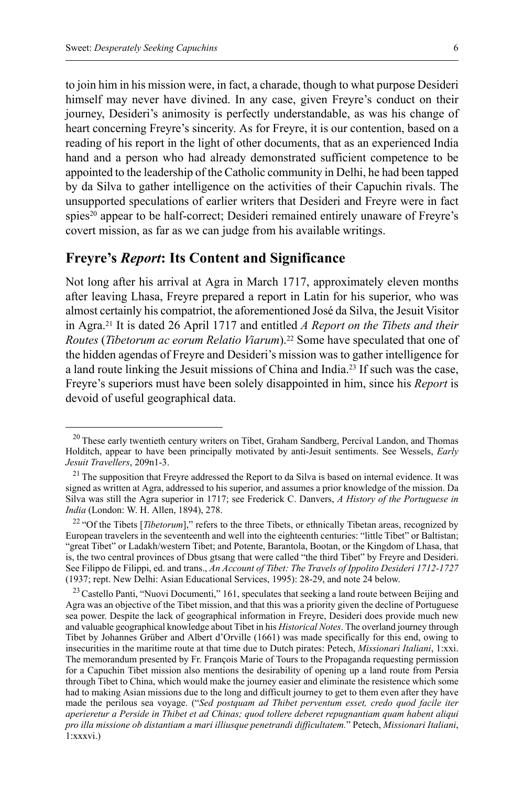to join him in his mission were, in fact, a charade, though to what purpose Desideri himself may never have divined. In any case, given Freyre's conduct on their journey, Desideri's animosity is perfectly understandable, as was his change of heart concerning Freyre's sincerity. As for Freyre, it is our contention, based on a reading of his report in the light of other documents, that as an experienced India hand and a person who had already demonstrated sufficient competence to be appointed to the leadership of the Catholic community in Delhi, he had been tapped by da Silva to gather intelligence on the activities of their Capuchin rivals. The unsupported speculations of earlier writers that Desideri and Freyre were in fact spies<sup>[20](#page-5-0)</sup> appear to be half-correct; Desideri remained entirely unaware of Freyre's covert mission, as far as we can judge from his available writings.

### **Freyre's** *Report***: Its Content and Significance**

Not long after his arrival at Agra in March 1717, approximately eleven months after leaving Lhasa, Freyre prepared a report in Latin for his superior, who was almost certainly his compatriot, the aforementioned José daSilva, the Jesuit Visitor in Agra.[21](#page-5-1) It is dated 26 April 1717 and entitled *A Report on the Tibets and their Routes* (*Tibetorum ac eorum Relatio Viarum*).[22](#page-5-2) Some have speculated that one of the hidden agendas of Freyre and Desideri's mission was to gather intelligence for a land route linking the Jesuit missions of China and India.[23](#page-5-3) If such was the case, Freyre's superiors must have been solely disappointed in him, since his *Report* is devoid of useful geographical data.

<span id="page-5-1"></span><span id="page-5-0"></span><sup>&</sup>lt;sup>20</sup> These early twentieth century writers on Tibet, Graham Sandberg, Percival Landon, and Thomas Holditch, appear to have been principally motivated by anti-Jesuit sentiments. See Wessels, *Early Jesuit Travellers*, 209n1-3.

<span id="page-5-2"></span> $21$  The supposition that Freyre addressed the Report to da Silva is based on internal evidence. It was signed as written at Agra, addressed to his superior, and assumes a prior knowledge of the mission. Da Silva was still the Agra superior in 1717; see Frederick C. Danvers, *A History of the Portuguese in India* (London: W. H. Allen, 1894), 278.

<span id="page-5-3"></span><sup>22</sup> "Of the Tibets [*Tibetorum*]," refers to the three Tibets, or ethnically Tibetan areas, recognized by European travelers in the seventeenth and well into the eighteenth centuries: "little Tibet" or Baltistan; "great Tibet" or Ladakh/western Tibet; and Potente, Barantola, Bootan, or the Kingdom of Lhasa, that is, the two central provinces of Dbus gtsang that were called "the third Tibet" by Freyre and Desideri. See Filippo de Filippi, ed. and trans., *An Account of Tibet: The Travels of Ippolito Desideri 1712-1727* (1937; rept. New Delhi: Asian Educational Services, 1995): 28-29, and note 24 below.

<sup>&</sup>lt;sup>23</sup> Castello Panti, "Nuovi Documenti," 161, speculates that seeking a land route between Beijing and Agra was an objective of the Tibet mission, and that this was a priority given the decline of Portuguese sea power. Despite the lack of geographical information in Freyre, Desideri does provide much new and valuable geographical knowledge about Tibet in his *Historical Notes*. The overland journey through Tibet by Johannes Grüber and Albert d'Orville (1661) was made specifically for this end, owing to insecurities in the maritime route at that time due to Dutch pirates: Petech, *Missionari Italiani*, 1:xxi. The memorandum presented by Fr. François Marie of Tours to the Propaganda requesting permission for a Capuchin Tibet mission also mentions the desirability of opening up a land route from Persia through Tibet to China, which would make the journey easier and eliminate the resistence which some had to making Asian missions due to the long and difficult journey to get to them even after they have made the perilous sea voyage. ("*Sed postquam ad Thibet perventum esset, credo quod facile iter aperieretur a Perside in Thibet et ad Chinas; quod tollere deberet repugnantiam quam habent aliqui pro illa missione ob distantiam a mari illiusque penetrandi difficultatem.*" Petech, *Missionari Italiani*, 1:xxxvi.)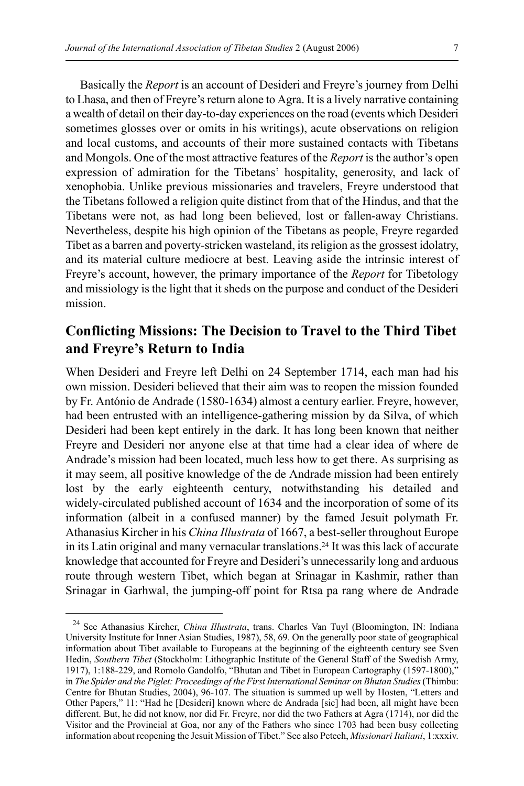Basically the *Report* is an account of Desideri and Freyre's journey from Delhi to Lhasa, and then of Freyre's return alone to Agra. It is a lively narrative containing a wealth of detail on their day-to-day experiences on the road (events which Desideri sometimes glosses over or omits in his writings), acute observations on religion and local customs, and accounts of their more sustained contacts with Tibetans and Mongols. One of the most attractive features of the *Report* is the author's open expression of admiration for the Tibetans' hospitality, generosity, and lack of xenophobia. Unlike previous missionaries and travelers, Freyre understood that the Tibetans followed a religion quite distinct from that of the Hindus, and that the Tibetans were not, as had long been believed, lost or fallen-away Christians. Nevertheless, despite his high opinion of the Tibetans as people, Freyre regarded Tibet as a barren and poverty-stricken wasteland, itsreligion asthe grossest idolatry, and its material culture mediocre at best. Leaving aside the intrinsic interest of Freyre's account, however, the primary importance of the *Report* for Tibetology and missiology is the light that it sheds on the purpose and conduct of the Desideri mission.

## **Conflicting Missions: The Decision to Travel to the Third Tibet and Freyre's Return to India**

When Desideri and Freyre left Delhi on 24 September 1714, each man had his own mission. Desideri believed that their aim was to reopen the mission founded by Fr. António de Andrade (1580-1634) almost a century earlier. Freyre, however, had been entrusted with an intelligence-gathering mission by da Silva, of which Desideri had been kept entirely in the dark. It has long been known that neither Freyre and Desideri nor anyone else at that time had a clear idea of where de Andrade's mission had been located, much less how to get there. As surprising as it may seem, all positive knowledge of the de Andrade mission had been entirely lost by the early eighteenth century, notwithstanding his detailed and widely-circulated published account of 1634 and the incorporation of some of its information (albeit in a confused manner) by the famed Jesuit polymath Fr. Athanasius Kircher in his *China Illustrata* of 1667, a best-seller throughout Europe in its Latin original and many vernacular translations.[24](#page-6-0) It was this lack of accurate knowledge that accounted for Freyre and Desideri's unnecessarily long and arduous route through western Tibet, which began at Srinagar in Kashmir, rather than Srinagar in Garhwal, the jumping-off point for Rtsa pa rang where de Andrade

<span id="page-6-0"></span><sup>24</sup> See Athanasius Kircher, *China Illustrata*, trans. Charles Van Tuyl (Bloomington, IN: Indiana University Institute for Inner Asian Studies, 1987), 58, 69. On the generally poor state of geographical information about Tibet available to Europeans at the beginning of the eighteenth century see Sven Hedin, *Southern Tibet* (Stockholm: Lithographic Institute of the General Staff of the Swedish Army, 1917), 1:188-229, and Romolo Gandolfo, "Bhutan and Tibet in European Cartography (1597-1800), in *The Spider and the Piglet: Proceedings of the First International Seminar on Bhutan Studies*(Thimbu: Centre for Bhutan Studies, 2004), 96-107. The situation is summed up well by Hosten, "Letters and Other Papers," 11: "Had he [Desideri] known where de Andrada [sic] had been, all might have been different. But, he did not know, nor did Fr. Freyre, nor did the two Fathers at Agra (1714), nor did the Visitor and the Provincial at Goa, nor any of the Fathers who since 1703 had been busy collecting information about reopening the Jesuit Mission of Tibet." See also Petech, *Missionari Italiani*, 1:xxxiv.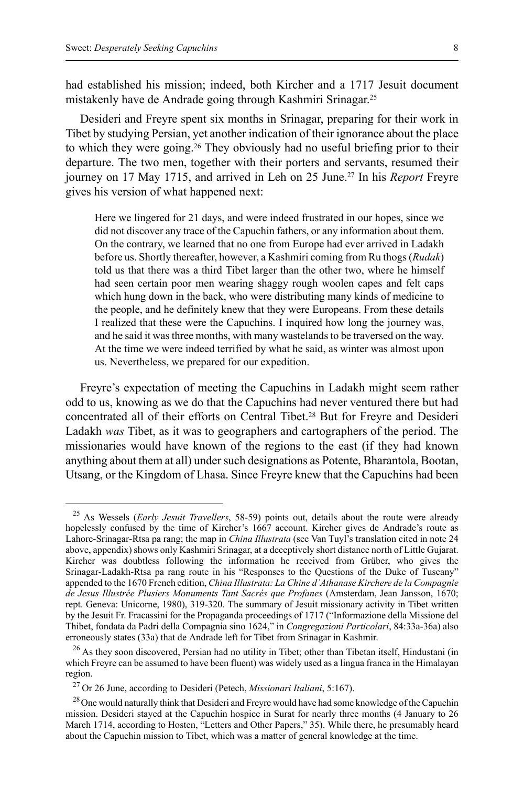had established his mission; indeed, both Kircher and a 1717 Jesuit document mistakenly have de Andrade going through Kashmiri Srinagar. [25](#page-7-0)

Desideri and Freyre spent six months in Srinagar, preparing for their work in Tibet by studying Persian, yet another indication of their ignorance about the place to which they were going.[26](#page-7-1) They obviously had no useful briefing prior to their departure. The two men, together with their porters and servants, resumed their journey on 17 May 1715, and arrived in Leh on 25 June.[27](#page-7-2) In his *Report* Freyre gives his version of what happened next:

Here we lingered for 21 days, and were indeed frustrated in our hopes, since we did not discover any trace of the Capuchin fathers, or any information about them. On the contrary, we learned that no one from Europe had ever arrived in Ladakh before us. Shortly thereafter, however, a Kashmiri coming from Ru thogs(*Rudak*) told us that there was a third Tibet larger than the other two, where he himself had seen certain poor men wearing shaggy rough woolen capes and felt caps which hung down in the back, who were distributing many kinds of medicine to the people, and he definitely knew that they were Europeans. From these details I realized that these were the Capuchins. I inquired how long the journey was, and he said it was three months, with many wastelands to be traversed on the way. At the time we were indeed terrified by what he said, as winter was almost upon us. Nevertheless, we prepared for our expedition.

Freyre's expectation of meeting the Capuchins in Ladakh might seem rather odd to us, knowing as we do that the Capuchins had never ventured there but had concentrated all of their efforts on Central Tibet.[28](#page-7-3) But for Freyre and Desideri Ladakh *was* Tibet, as it was to geographers and cartographers of the period. The missionaries would have known of the regions to the east (if they had known anything about them at all) under such designations as Potente, Bharantola, Bootan, Utsang, or the Kingdom of Lhasa. Since Freyre knew that the Capuchins had been

<span id="page-7-0"></span><sup>25</sup> As Wessels (*Early Jesuit Travellers*, 58-59) points out, details about the route were already hopelessly confused by the time of Kircher's 1667 account. Kircher gives de Andrade's route as Lahore-Srinagar-Rtsa pa rang; the map in *China Illustrata* (see Van Tuyl's translation cited in note 24 above, appendix) shows only Kashmiri Srinagar, at a deceptively short distance north of Little Gujarat. Kircher was doubtless following the information he received from Grüber, who gives the Srinagar-Ladakh-Rtsa pa rang route in his "Responses to the Questions of the Duke of Tuscany" appended to the 1670 French edition, *China Illustrata: La Chine d'Athanase Kirchere de la Compagnie de Jesus Illustrée Plusiers Monuments Tant Sacrés que Profanes* (Amsterdam, Jean Jansson, 1670; rept. Geneva: Unicorne, 1980), 319-320. The summary of Jesuit missionary activity in Tibet written by the Jesuit Fr. Fracassini for the Propaganda proceedings of 1717 ("Informazione della Missione del Thibet, fondata da Padri della Compagnia sino 1624," in *Congregazioni Particolari*, 84:33a-36a) also erroneously states (33a) that de Andrade left for Tibet from Srinagar in Kashmir.

<span id="page-7-3"></span><span id="page-7-2"></span><span id="page-7-1"></span> $^{26}$  As they soon discovered, Persian had no utility in Tibet; other than Tibetan itself, Hindustani (in which Freyre can be assumed to have been fluent) was widely used as a lingua franca in the Himalayan region.

<sup>27</sup> Or 26 June, according to Desideri (Petech, *Missionari Italiani*, 5:167).

<sup>&</sup>lt;sup>28</sup> One would naturally think that Desideri and Freyre would have had some knowledge of the Capuchin mission. Desideri stayed at the Capuchin hospice in Surat for nearly three months (4 January to 26 March 1714, according to Hosten, "Letters and Other Papers," 35). While there, he presumably heard about the Capuchin mission to Tibet, which was a matter of general knowledge at the time.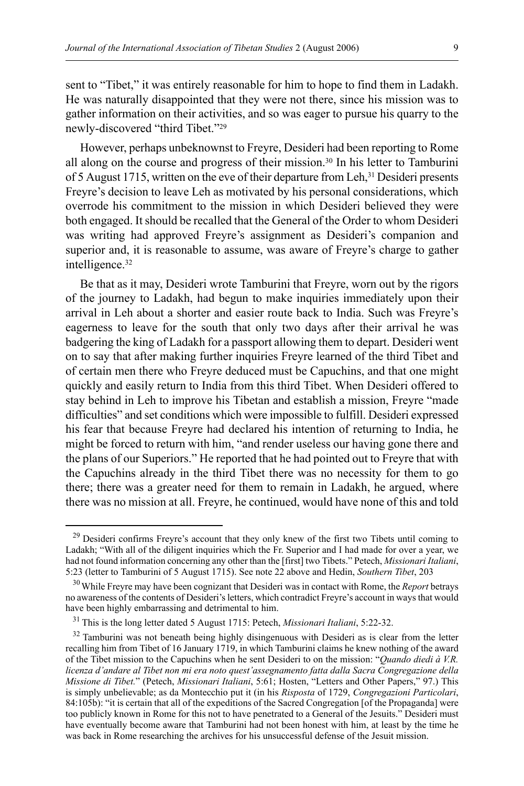sent to "Tibet," it was entirely reasonable for him to hope to find them in Ladakh. He was naturally disappointed that they were not there, since his mission was to gather information on their activities, and so was eager to pursue his quarry to the newly-discovered "third Tibet."[29](#page-8-0)

However, perhaps unbeknownst to Freyre, Desideri had been reporting to Rome all along on the course and progress of their mission.[30](#page-8-1) In his letter to Tamburini of 5 August 1715, written on the eve of their departure from Leh,<sup>[31](#page-8-2)</sup> Desideri presents Freyre's decision to leave Leh as motivated by his personal considerations, which overrode his commitment to the mission in which Desideri believed they were both engaged. It should be recalled that the General of the Order to whom Desideri was writing had approved Freyre's assignment as Desideri's companion and superior and, it is reasonable to assume, was aware of Freyre's charge to gather intelligence.[32](#page-8-3)

Be that as it may, Desideri wrote Tamburini that Freyre, worn out by the rigors of the journey to Ladakh, had begun to make inquiries immediately upon their arrival in Leh about a shorter and easier route back to India. Such was Freyre's eagerness to leave for the south that only two days after their arrival he was badgering the king of Ladakh for a passport allowing them to depart. Desideri went on to say that after making further inquiries Freyre learned of the third Tibet and of certain men there who Freyre deduced must be Capuchins, and that one might quickly and easily return to India from this third Tibet. When Desideri offered to stay behind in Leh to improve his Tibetan and establish a mission, Freyre "made difficulties" and set conditions which were impossible to fulfill. Desideri expressed his fear that because Freyre had declared his intention of returning to India, he might be forced to return with him, "and render useless our having gone there and the plans of our Superiors." He reported that he had pointed out to Freyre that with the Capuchins already in the third Tibet there was no necessity for them to go there; there was a greater need for them to remain in Ladakh, he argued, where there was no mission at all. Freyre, he continued, would have none of this and told

<span id="page-8-2"></span><span id="page-8-1"></span><span id="page-8-0"></span><sup>&</sup>lt;sup>29</sup> Desideri confirms Freyre's account that they only knew of the first two Tibets until coming to Ladakh; "With all of the diligent inquiries which the Fr. Superior and I had made for over a year, we had not found information concerning any other than the [first] two Tibets." Petech, *Missionari Italiani*, 5:23 (letter to Tamburini of 5 August 1715). See note 22 above and Hedin, *Southern Tibet*, 203

<span id="page-8-3"></span><sup>30</sup>While Freyre may have been cognizant that Desideri was in contact with Rome, the *Report* betrays no awareness of the contents of Desideri's letters, which contradict Freyre's account in ways that would have been highly embarrassing and detrimental to him.

<sup>31</sup> This is the long letter dated 5 August 1715: Petech, *Missionari Italiani*, 5:22-32.

 $32$  Tamburini was not beneath being highly disingenuous with Desideri as is clear from the letter recalling him from Tibet of 16 January 1719, in which Tamburini claims he knew nothing of the award of the Tibet mission to the Capuchins when he sent Desideri to on the mission: "*Quando diedi à V.R. licenza d'andare al Tibet non mi era noto quest'assegnamento fatta dalla Sacra Congregazione della Missione di Tibet.*" (Petech, *Missionari Italiani*, 5:61; Hosten, "Letters and Other Papers," 97.) This is simply unbelievable; as da Montecchio put it (in his *Risposta* of 1729, *Congregazioni Particolari*, 84:105b): "it is certain that all of the expeditions of the Sacred Congregation [of the Propaganda] were too publicly known in Rome for this not to have penetrated to a General of the Jesuits." Desideri must have eventually become aware that Tamburini had not been honest with him, at least by the time he was back in Rome researching the archives for his unsuccessful defense of the Jesuit mission.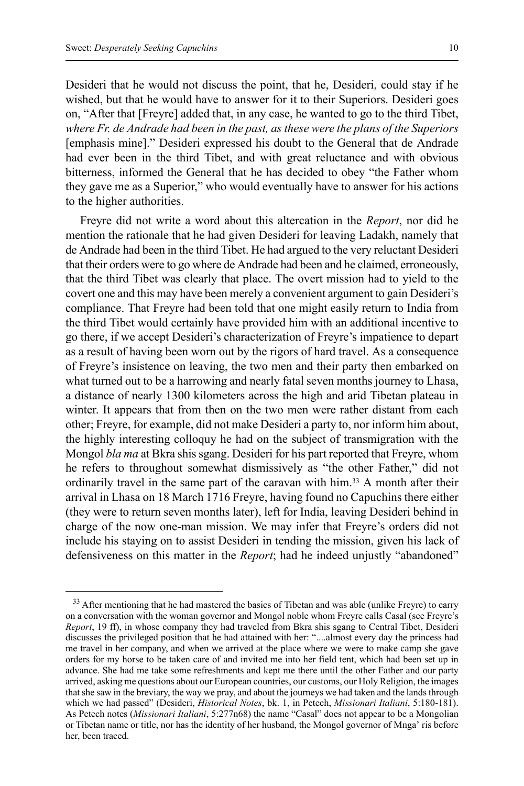Desideri that he would not discuss the point, that he, Desideri, could stay if he wished, but that he would have to answer for it to their Superiors. Desideri goes on, "After that [Freyre] added that, in any case, he wanted to go to the third Tibet, *where Fr. de Andrade had been in the past, asthese were the plans of the Superiors* [emphasis mine]." Desideri expressed his doubt to the General that de Andrade had ever been in the third Tibet, and with great reluctance and with obvious bitterness, informed the General that he has decided to obey "the Father whom they gave me as a Superior," who would eventually have to answer for his actions to the higher authorities.

Freyre did not write a word about this altercation in the *Report*, nor did he mention the rationale that he had given Desideri for leaving Ladakh, namely that de Andrade had been in the third Tibet. He had argued to the very reluctant Desideri that their orders were to go where de Andrade had been and he claimed, erroneously, that the third Tibet was clearly that place. The overt mission had to yield to the covert one and this may have been merely a convenient argument to gain Desideri's compliance. That Freyre had been told that one might easily return to India from the third Tibet would certainly have provided him with an additional incentive to go there, if we accept Desideri's characterization of Freyre's impatience to depart as a result of having been worn out by the rigors of hard travel. As a consequence of Freyre's insistence on leaving, the two men and their party then embarked on what turned out to be a harrowing and nearly fatal seven months journey to Lhasa, a distance of nearly 1300 kilometers across the high and arid Tibetan plateau in winter. It appears that from then on the two men were rather distant from each other;Freyre, for example, did not make Desideri a party to, nor inform him about, the highly interesting colloquy he had on the subject of transmigration with the Mongol *bla ma* at Bkra shis sgang. Desideri for his part reported that Freyre, whom he refers to throughout somewhat dismissively as "the other Father," did not ordinarily travel in the same part of the caravan with him.[33](#page-9-0) A month after their arrival in Lhasa on 18 March 1716 Freyre, having found no Capuchins there either (they were to return seven months later), left for India, leaving Desideri behind in charge of the now one-man mission. We may infer that Freyre's orders did not include his staying on to assist Desideri in tending the mission, given his lack of defensiveness on this matter in the *Report*; had he indeed unjustly "abandoned"

<span id="page-9-0"></span><sup>&</sup>lt;sup>33</sup> After mentioning that he had mastered the basics of Tibetan and was able (unlike Freyre) to carry on a conversation with the woman governor and Mongol noble whom Freyre calls Casal (see Freyre's *Report*, 19 ff), in whose company they had traveled from Bkra shis sgang to Central Tibet, Desideri discusses the privileged position that he had attained with her: "....almost every day the princess had me travel in her company, and when we arrived at the place where we were to make camp she gave orders for my horse to be taken care of and invited me into her field tent, which had been set up in advance. She had me take some refreshments and kept me there until the other Father and our party arrived, asking me questions about our European countries, our customs, our Holy Religion, the images that she saw in the breviary, the way we pray, and about the journeys we had taken and the lands through which we had passed" (Desideri, *Historical Notes*, bk. 1, in Petech, *Missionari Italiani*, 5:180-181). As Petech notes (*Missionari Italiani*, 5:277n68) the name "Casal" does not appear to be a Mongolian or Tibetan name or title, nor has the identity of her husband, the Mongol governor of Mnga' ris before her, been traced.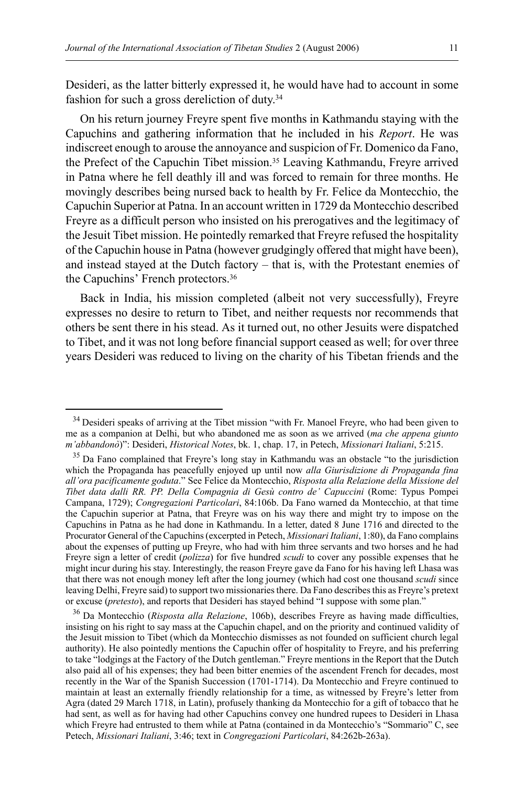Desideri, as the latter bitterly expressed it, he would have had to account in some fashion for such a gross dereliction of duty. [34](#page-10-0)

On his return journey Freyre spent five months in Kathmandu staying with the Capuchins and gathering information that he included in his *Report*. He was indiscreet enough to arouse the annoyance and suspicion of Fr. Domenico da Fano, the Prefect of the Capuchin Tibet mission.<sup>[35](#page-10-1)</sup> Leaving Kathmandu, Freyre arrived in Patna where he fell deathly ill and was forced to remain for three months. He movingly describes being nursed back to health by Fr. Felice da Montecchio, the Capuchin Superior at Patna. In an account written in 1729 da Montecchio described Freyre as a difficult person who insisted on his prerogatives and the legitimacy of the Jesuit Tibet mission. He pointedly remarked that Freyre refused the hospitality of the Capuchin house inPatna (however grudgingly offered that might have been), and instead stayed at the Dutch factory – that is, with the Protestant enemies of the Capuchins' French protectors.[36](#page-10-2)

Back in India, his mission completed (albeit not very successfully), Freyre expresses no desire to return to Tibet, and neither requests nor recommends that others be sent there in his stead. As it turned out, no other Jesuits were dispatched to Tibet, and it was not long before financial support ceased as well; for over three years Desideri was reduced to living on the charity of his Tibetan friends and the

<span id="page-10-1"></span><span id="page-10-0"></span><sup>&</sup>lt;sup>34</sup> Desideri speaks of arriving at the Tibet mission "with Fr. Manoel Freyre, who had been given to me as a companion at Delhi, but who abandoned me as soon as we arrived (*ma che appena giunto m'abbandonò*)": Desideri, *Historical Notes*, bk. 1, chap. 17, in Petech, *Missionari Italiani*, 5:215.

<sup>&</sup>lt;sup>35</sup> Da Fano complained that Freyre's long stay in Kathmandu was an obstacle "to the jurisdiction which the Propaganda has peacefully enjoyed up until now *alla Giurisdizione di Propaganda fina all'ora pacificamente goduta*." See Felice da Montecchio, *Risposta alla Relazione della Missione del Tibet data dalli RR. PP. Della Compagnia di Gesù contro de' Capuccini* (Rome: Typus Pompei Campana, 1729); *Congregazioni Particolari*, 84:106b. Da Fano warned da Montecchio, at that time the Capuchin superior at Patna, that Freyre was on his way there and might try to impose on the Capuchins in Patna as he had done in Kathmandu. In a letter, dated 8 June 1716 and directed to the Procurator General of the Capuchins(excerpted in Petech, *Missionari Italiani*, 1:80), da Fano complains about the expenses of putting up Freyre, who had with him three servants and two horses and he had Freyre sign a letter of credit (*polizza*) for five hundred *scudi* to cover any possible expenses that he might incur during his stay. Interestingly, the reason Freyre gave da Fano for his having left Lhasa was that there was not enough money left after the long journey (which had cost one thousand *scudi* since leaving Delhi, Freyre said) to support two missionaries there. Da Fano describes this as Freyre's pretext or excuse (*pretesto*), and reports that Desideri has stayed behind "I suppose with some plan."

<span id="page-10-2"></span><sup>36</sup> Da Montecchio (*Risposta alla Relazione*, 106b), describes Freyre as having made difficulties, insisting on his right to say mass at the Capuchin chapel, and on the priority and continued validity of the Jesuit mission to Tibet (which da Montecchio dismisses as not founded on sufficient church legal authority). He also pointedly mentions the Capuchin offer of hospitality to Freyre, and his preferring to take "lodgings at the Factory of the Dutch gentleman." Freyre mentions in the Report that the Dutch also paid all of his expenses; they had been bitter enemies of the ascendent French for decades, most recently in the War of the Spanish Succession (1701-1714). Da Montecchio and Freyre continued to maintain at least an externally friendly relationship for a time, as witnessed by Freyre's letter from Agra (dated 29 March 1718, in Latin), profusely thanking da Montecchio for a gift of tobacco that he had sent, as well as for having had other Capuchins convey one hundred rupees to Desideri in Lhasa which Freyre had entrusted to them while at Patna (contained in da Montecchio's "Sommario" C, see Petech, *Missionari Italiani*, 3:46; text in *Congregazioni Particolari*, 84:262b-263a).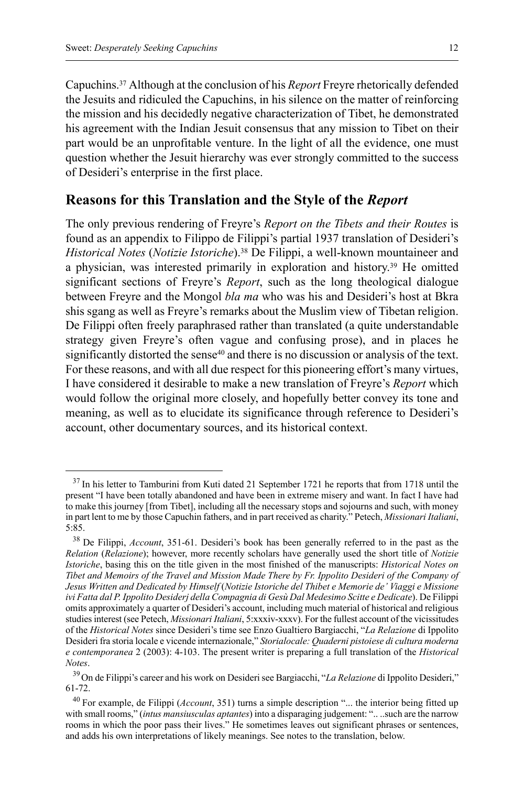Capuchins.[37](#page-11-0) Although at the conclusion of his *Report*Freyre rhetorically defended the Jesuits and ridiculed the Capuchins, in his silence on the matter of reinforcing the mission and his decidedly negative characterization of Tibet, he demonstrated his agreement with the Indian Jesuit consensus that any mission to Tibet on their part would be an unprofitable venture. In the light of all the evidence, one must question whether the Jesuit hierarchy was ever strongly committed to the success of Desideri's enterprise in the first place.

#### **Reasons for this Translation and the Style of the** *Report*

The only previous rendering of Freyre's *Report on the Tibets and their Routes* is found as an appendix to Filippo de Filippi's partial 1937 translation of Desideri's *Historical Notes* (*Notizie Istoriche*).[38](#page-11-1) De Filippi, a well-known mountaineer and a physician, was interested primarily in exploration and history. [39](#page-11-2) He omitted significant sections of Freyre's *Report*, such as the long theological dialogue between Freyre and the Mongol *bla ma* who was his and Desideri's host at Bkra shis sgang as well as Freyre's remarks about the Muslim view of Tibetan religion. De Filippi often freely paraphrased rather than translated (a quite understandable strategy given Freyre's often vague and confusing prose), and in places he significantly distorted the sense<sup>[40](#page-11-3)</sup> and there is no discussion or analysis of the text. For these reasons, and with all due respect for this pioneering effort's many virtues, I have considered it desirable to make a new translation of Freyre's *Report* which would follow the original more closely, and hopefully better convey its tone and meaning, as well as to elucidate its significance through reference to Desideri's account, other documentary sources, and its historical context.

<span id="page-11-1"></span><span id="page-11-0"></span><sup>&</sup>lt;sup>37</sup> In his letter to Tamburini from Kuti dated 21 September 1721 he reports that from 1718 until the present "I have been totally abandoned and have been in extreme misery and want. In fact I have had to make this journey [from Tibet], including all the necessary stops and sojourns and such, with money in part lent to me by those Capuchin fathers, and in part received as charity." Petech, *Missionari Italiani*, 5:85.

<sup>38</sup> De Filippi, *Account*, 351-61. Desideri's book has been generally referred to in the past as the *Relation* (*Relazione*); however, more recently scholars have generally used the short title of *Notizie Istoriche*, basing this on the title given in the most finished of the manuscripts: *Historical Notes on Tibet and Memoirs of the Travel and Mission Made There by Fr. Ippolito Desideri of the Company of Jesus Written and Dedicated by Himself* (*Notizie Istoriche del Thibet e Memorie de' Viaggi e Missione ivi Fatta dal P. Ippolito Desiderj della Compagnia di Gesù Dal Medesimo Scitte e Dedicate*). De Filippi omits approximately a quarter of Desideri's account, including much material of historical and religious studiesinterest (see Petech, *Missionari Italiani*, 5:xxxiv-xxxv). For the fullest account of the vicissitudes of the *Historical Notes* since Desideri's time see Enzo Gualtiero Bargiacchi, "*La Relazione* di Ippolito Desideri fra storia locale e vicende internazionale," *Storialocale: Quaderni pistoiese di cultura moderna e contemporanea* 2 (2003): 4-103. The present writer is preparing a full translation of the *Historical Notes*.

<span id="page-11-3"></span><span id="page-11-2"></span><sup>&</sup>lt;sup>39</sup> On de Filippi's career and his work on Desideri see Bargiacchi, "*La Relazione* di Ippolito Desideri," 61-72.

<sup>40</sup> For example, de Filippi (*Account*, 351) turns a simple description "... the interior being fitted up with small rooms," (*intus mansiusculas aptantes*) into a disparaging judgement: ".. ..such are the narrow rooms in which the poor pass their lives." He sometimes leaves out significant phrases or sentences, and adds his own interpretations of likely meanings. See notes to the translation, below.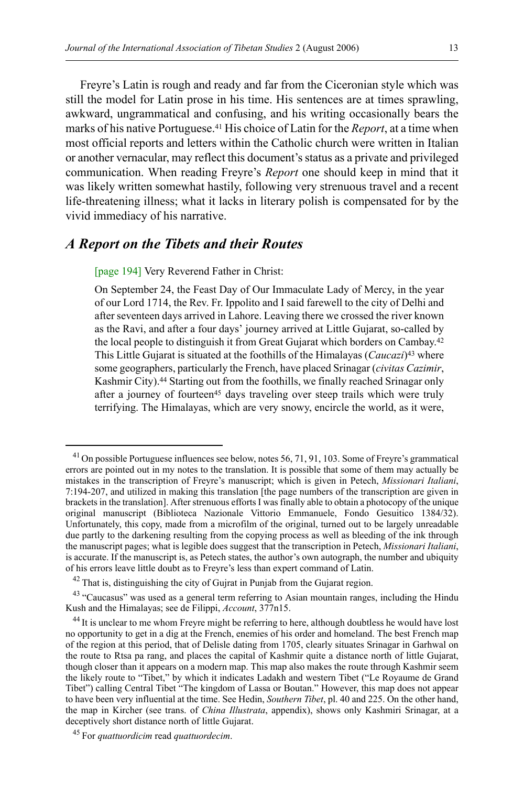Freyre's Latin is rough and ready and far from the Ciceronian style which was still the model for Latin prose in his time. His sentences are at times sprawling, awkward, ungrammatical and confusing, and his writing occasionally bears the marks of his native Portuguese.<sup>[41](#page-12-0)</sup> His choice of Latin for the *Report*, at a time when most official reports and letters within the Catholic church were written in Italian or another vernacular, may reflect this document'sstatus as a private and privileged communication. When reading Freyre's *Report* one should keep in mind that it was likely written somewhat hastily, following very strenuous travel and a recent life-threatening illness; what it lacks in literary polish is compensated for by the vivid immediacy of his narrative.

#### *A Report on the Tibets and their Routes*

[page 194] Very Reverend Father in Christ:

On September 24, the Feast Day of Our Immaculate Lady of Mercy, in the year of our Lord 1714, the Rev. Fr. Ippolito and I said farewell to the city of Delhi and after seventeen days arrived in Lahore. Leaving there we crossed the river known as the Ravi, and after a four days' journey arrived at Little Gujarat, so-called by the local people to distinguish it from Great Gujarat which borders on Cambay. [42](#page-12-1) This Little Gujarat is situated at the foothills of the Himalayas (*Caucazi*) [43](#page-12-2) where some geographers, particularly the French, have placed Srinagar (*civitas Cazimir*, Kashmir City).<sup>[44](#page-12-3)</sup> Starting out from the foothills, we finally reached Srinagar only after a journey of fourteen<sup>[45](#page-12-4)</sup> days traveling over steep trails which were truly terrifying. The Himalayas, which are very snowy, encircle the world, as it were,

<span id="page-12-0"></span> $41$  On possible Portuguese influences see below, notes 56, 71, 91, 103. Some of Freyre's grammatical errors are pointed out in my notes to the translation. It is possible that some of them may actually be mistakes in the transcription of Freyre's manuscript; which is given in Petech, *Missionari Italiani*, 7:194-207, and utilized in making this translation [the page numbers of the transcription are given in brackets in the translation]. After strenuous efforts I was finally able to obtain a photocopy of the unique original manuscript (Biblioteca Nazionale Vittorio Emmanuele, Fondo Gesuitico 1384/32). Unfortunately, this copy, made from a microfilm of the original, turned out to be largely unreadable due partly to the darkening resulting from the copying process as well as bleeding of the ink through the manuscript pages; what is legible does suggest that the transcription in Petech, *Missionari Italiani*, is accurate. If the manuscript is, as Petech states, the author's own autograph, the number and ubiquity of his errors leave little doubt as to Freyre's less than expert command of Latin.

<span id="page-12-3"></span><span id="page-12-2"></span><span id="page-12-1"></span> $42$  That is, distinguishing the city of Gujrat in Punjab from the Gujarat region.

<sup>&</sup>lt;sup>43</sup> "Caucasus" was used as a general term referring to Asian mountain ranges, including the Hindu Kush and the Himalayas; see de Filippi, *Account*, 377n15.

<span id="page-12-4"></span><sup>&</sup>lt;sup>44</sup> It is unclear to me whom Freyre might be referring to here, although doubtless he would have lost no opportunity to get in a dig at the French, enemies of his order and homeland. The best French map of the region at this period, that of Delisle dating from 1705, clearly situates Srinagar in Garhwal on the route to Rtsa pa rang, and places the capital of Kashmir quite a distance north of little Gujarat, though closer than it appears on a modern map. This map also makes the route through Kashmir seem the likely route to "Tibet," by which it indicates Ladakh and western Tibet ("Le Royaume de Grand Tibet") calling Central Tibet "The kingdom of Lassa or Boutan." However, this map does not appear to have been very influential at the time. See Hedin, *Southern Tibet*, pl. 40 and 225. On the other hand, the map in Kircher (see trans. of *China Illustrata*, appendix), shows only Kashmiri Srinagar, at a deceptively short distance north of little Gujarat.

<sup>45</sup> For *quattuordicim* read *quattuordecim*.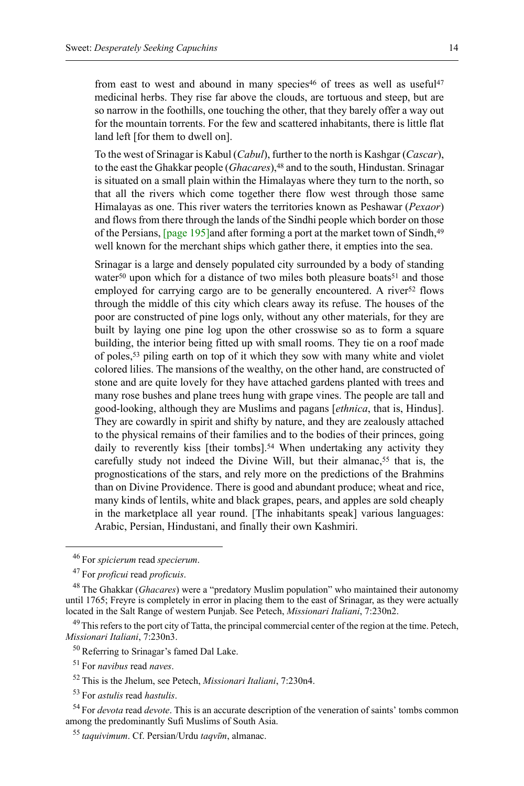from east to west and abound in many species<sup>[46](#page-13-0)</sup> of trees as well as useful<sup>[47](#page-13-1)</sup> medicinal herbs. They rise far above the clouds, are tortuous and steep, but are so narrow in the foothills, one touching the other, that they barely offer a way out for the mountain torrents. For the few and scattered inhabitants, there is little flat land left [for them to dwell on].

To the west of Srinagar is Kabul (*Cabul*), further to the north is Kashgar (*Cascar*), to the east the Ghakkar people (*Ghacares*),<sup>[48](#page-13-2)</sup> and to the south, Hindustan. Srinagar is situated on a small plain within the Himalayas where they turn to the north, so that all the rivers which come together there flow west through those same Himalayas as one. This river waters the territories known as Peshawar (*Pexaor*) and flows from there through the lands of the Sindhi people which border on those of the Persians, [page 195]and after forming a port at the market town of Sindh,<sup>[49](#page-13-3)</sup> well known for the merchant ships which gather there, it empties into the sea.

Srinagar is a large and densely populated city surrounded by a body of standing water<sup>[50](#page-13-4)</sup> upon which for a distance of two miles both pleasure boats<sup>[51](#page-13-5)</sup> and those employed for carrying cargo are to be generally encountered. A river<sup>[52](#page-13-6)</sup> flows through the middle of this city which clears away its refuse. The houses of the poor are constructed of pine logs only, without any other materials, for they are built by laying one pine log upon the other crosswise so as to form a square building, the interior being fitted up with small rooms. They tie on a roof made of poles,[53](#page-13-7) piling earth on top of it which they sow with many white and violet colored lilies. The mansions of the wealthy, on the other hand, are constructed of stone and are quite lovely for they have attached gardens planted with trees and many rose bushes and plane trees hung with grape vines. The people are tall and good-looking, although they are Muslims and pagans [*ethnica*, that is, Hindus]. They are cowardly in spirit and shifty by nature, and they are zealously attached to the physical remains of their families and to the bodies of their princes, going daily to reverently kiss [their tombs].<sup>[54](#page-13-8)</sup> When undertaking any activity they carefully study not indeed the Divine Will, but their almanac,[55](#page-13-9) that is, the prognostications of the stars, and rely more on the predictions of the Brahmins than on Divine Providence. There is good and abundant produce; wheat and rice, many kinds of lentils, white and black grapes, pears, and apples are sold cheaply in the marketplace all year round. [The inhabitants speak] various languages: Arabic, Persian, Hindustani, and finally their own Kashmiri.

<sup>53</sup> For *astulis* read *hastulis*.

<span id="page-13-3"></span><span id="page-13-2"></span><span id="page-13-1"></span><span id="page-13-0"></span><sup>46</sup> For *spicierum* read *specierum*.

<sup>47</sup> For *proficui* read *proficuis*.

<span id="page-13-5"></span><span id="page-13-4"></span><sup>48</sup> The Ghakkar (*Ghacares*) were a "predatory Muslim population" who maintained their autonomy until 1765; Freyre is completely in error in placing them to the east of Srinagar, as they were actually located in the Salt Range of western Punjab. See Petech, *Missionari Italiani*, 7:230n2.

<span id="page-13-8"></span><span id="page-13-7"></span><span id="page-13-6"></span><sup>&</sup>lt;sup>49</sup>This refers to the port city of Tatta, the principal commercial center of the region at the time. Petech, *Missionari Italiani*, 7:230n3.

<sup>50</sup> Referring to Srinagar's famed Dal Lake.

<span id="page-13-9"></span><sup>51</sup> For *navibus* read *naves*.

<sup>52</sup> This is the Jhelum, see Petech, *Missionari Italiani*, 7:230n4.

<sup>54</sup> For *devota* read *devote*. This is an accurate description of the veneration of saints' tombs common among the predominantly Sufi Muslims of South Asia.

<sup>55</sup> *taquivimum*. Cf. Persian/Urdu *taqvīm*, almanac.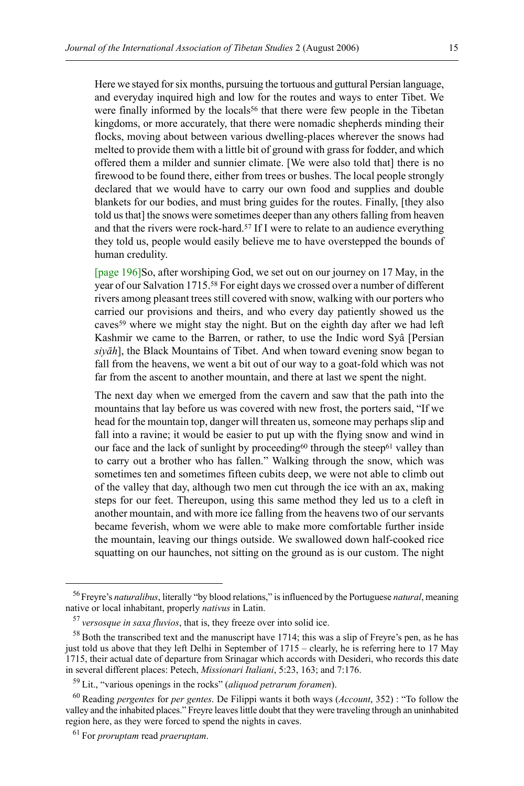Here we stayed for six months, pursuing the tortuous and guttural Persian language, and everyday inquired high and low for the routes and ways to enter Tibet. We were finally informed by the locals<sup>[56](#page-14-0)</sup> that there were few people in the Tibetan kingdoms, or more accurately, that there were nomadic shepherds minding their flocks, moving about between various dwelling-places wherever the snows had melted to provide them with a little bit of ground with grass for fodder, and which offered them a milder and sunnier climate. [We were also told that] there is no firewood to be found there, either from trees or bushes. The local people strongly declared that we would have to carry our own food and supplies and double blankets for our bodies, and must bring guides for the routes. Finally, [they also told us that] the snows were sometimes deeper than any others falling from heaven and that the rivers were rock-hard.[57](#page-14-1) If I were to relate to an audience everything they told us, people would easily believe me to have overstepped the bounds of human credulity.

[page 196]So, after worshiping God, we set out on our journey on 17 May, in the year of our Salvation 1715.[58](#page-14-2) For eight days we crossed over a number of different rivers among pleasant trees still covered with snow, walking with our porters who carried our provisions and theirs, and who every day patiently showed us the caves[59](#page-14-3) where we might stay the night. But on the eighth day after we had left Kashmir we came to the Barren, or rather, to use the Indic word Syâ [Persian *siyāh*], the Black Mountains of Tibet. And when toward evening snow began to fall from the heavens, we went a bit out of our way to a goat-fold which was not far from the ascent to another mountain, and there at last we spent the night.

The next day when we emerged from the cavern and saw that the path into the mountains that lay before us was covered with new frost, the porters said, "If we head for the mountain top, danger will threaten us, someone may perhaps slip and fall into a ravine; it would be easier to put up with the flying snow and wind in our face and the lack of sunlight by proceeding<sup>[60](#page-14-4)</sup> through the steep<sup>[61](#page-14-5)</sup> valley than to carry out a brother who has fallen." Walking through the snow, which was sometimes ten and sometimes fifteen cubits deep, we were not able to climb out of the valley that day, although two men cut through the ice with an ax, making steps for our feet. Thereupon, using this same method they led us to a cleft in another mountain, and with more ice falling from the heavens two of our servants became feverish, whom we were able to make more comfortable further inside the mountain, leaving our things outside. We swallowed down half-cooked rice squatting on our haunches, not sitting on the ground as is our custom. The night

<span id="page-14-2"></span><span id="page-14-1"></span><span id="page-14-0"></span><sup>56</sup>Freyre's *naturalibus*, literally "by blood relations," isinfluenced by the Portuguese *natural*, meaning native or local inhabitant, properly *nativus* in Latin.

<span id="page-14-3"></span><sup>57</sup> *versosque in saxa fluvios*, that is, they freeze over into solid ice.

<span id="page-14-5"></span><span id="page-14-4"></span><sup>&</sup>lt;sup>58</sup> Both the transcribed text and the manuscript have 1714; this was a slip of Freyre's pen, as he has just told us above that they left Delhi in September of 1715 – clearly, he is referring here to 17 May 1715, their actual date of departure from Srinagar which accords with Desideri, who records this date in several different places: Petech, *Missionari Italiani*, 5:23, 163; and 7:176.

<sup>59</sup> Lit., "various openings in the rocks" (*aliquod petrarum foramen*).

<sup>60</sup> Reading *pergentes* for *per gentes*. De Filippi wants it both ways (*Account*, 352) : "To follow the valley and the inhabited places." Freyre leaveslittle doubt that they were traveling through an uninhabited region here, as they were forced to spend the nights in caves.

<sup>61</sup> For *proruptam* read *praeruptam*.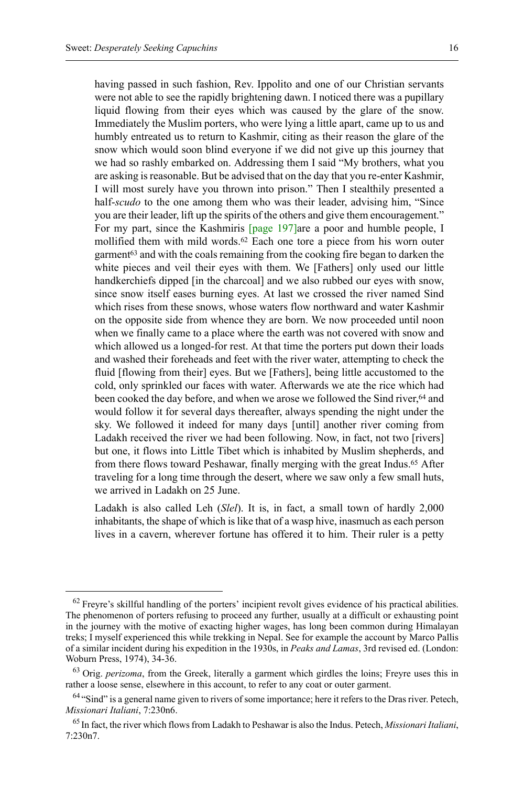having passed in such fashion, Rev. Ippolito and one of our Christian servants were not able to see the rapidly brightening dawn. I noticed there was a pupillary liquid flowing from their eyes which was caused by the glare of the snow. Immediately the Muslim porters, who were lying a little apart, came up to us and humbly entreated us to return to Kashmir, citing as their reason the glare of the snow which would soon blind everyone if we did not give up this journey that we had so rashly embarked on. Addressing them I said "My brothers, what you are asking is reasonable. But be advised that on the day that you re-enter Kashmir, I will most surely have you thrown into prison." Then I stealthily presented a half-*scudo* to the one among them who was their leader, advising him, "Since you are their leader, lift up the spirits of the others and give them encouragement." For my part, since the Kashmiris [page 197]are a poor and humble people, I mollified them with mild words.<sup>[62](#page-15-0)</sup> Each one tore a piece from his worn outer garment<sup>[63](#page-15-1)</sup> and with the coals remaining from the cooking fire began to darken the white pieces and veil their eyes with them. We [Fathers] only used our little handkerchiefs dipped [in the charcoal] and we also rubbed our eyes with snow, since snow itself eases burning eyes. At last we crossed the river named Sind which rises from these snows, whose waters flow northward and water Kashmir on the opposite side from whence they are born. We now proceeded until noon when we finally came to a place where the earth was not covered with snow and which allowed us a longed-for rest. At that time the porters put down their loads and washed their foreheads and feet with the river water, attempting to check the fluid [flowing from their] eyes. But we [Fathers], being little accustomed to the cold, only sprinkled our faces with water. Afterwards we ate the rice which had been cooked the day before, and when we arose we followed the Sind river, [64](#page-15-2) and would follow it for several days thereafter, always spending the night under the sky. We followed it indeed for many days [until] another river coming from Ladakh received the river we had been following. Now, in fact, not two [rivers] but one, it flows into Little Tibet which is inhabited by Muslim shepherds, and from there flows toward Peshawar, finally merging with the great Indus.[65](#page-15-3) After traveling for a long time through the desert, where we saw only a few small huts, we arrived in Ladakh on 25 June.

<span id="page-15-0"></span>Ladakh is also called Leh (*Slel*). It is, in fact, a small town of hardly 2,000 inhabitants, the shape of which is like that of a wasp hive, inasmuch as each person lives in a cavern, wherever fortune has offered it to him. Their ruler is a petty

<span id="page-15-2"></span><span id="page-15-1"></span> $62$  Frevre's skillful handling of the porters' incipient revolt gives evidence of his practical abilities. The phenomenon of porters refusing to proceed any further, usually at a difficult or exhausting point in the journey with the motive of exacting higher wages, has long been common during Himalayan treks; I myself experienced this while trekking in Nepal. See for example the account by Marco Pallis of a similar incident during his expedition in the 1930s, in *Peaks and Lamas*, 3rd revised ed. (London: Woburn Press, 1974), 34-36.

<span id="page-15-3"></span><sup>63</sup> Orig. *perizoma*, from the Greek, literally a garment which girdles the loins; Freyre uses this in rather a loose sense, elsewhere in this account, to refer to any coat or outer garment.

<sup>&</sup>lt;sup>64</sup> "Sind" is a general name given to rivers of some importance; here it refers to the Dras river. Petech, *Missionari Italiani*, 7:230n6.

<sup>&</sup>lt;sup>65</sup> In fact, the river which flows from Ladakh to Peshawar is also the Indus. Petech, *Missionari Italiani*, 7:230n7.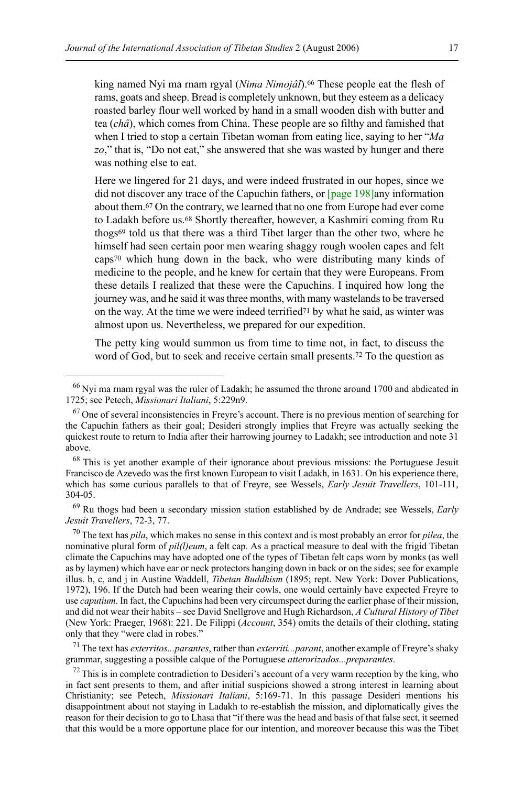king named Nyi ma rnam rgyal (*Nima Nimojâl*).[66](#page-16-0) These people eat the flesh of rams, goats and sheep. Bread is completely unknown, but they esteem as a delicacy roasted barley flour well worked by hand in a small wooden dish with butter and tea (*châ*), which comes from China. These people are so filthy and famished that when I tried to stop a certain Tibetan woman from eating lice, saying to her "*Ma zo*," that is, "Do not eat," she answered that she was wasted by hunger and there was nothing else to eat.

Here we lingered for 21 days, and were indeed frustrated in our hopes, since we did not discover any trace of the Capuchin fathers, or [page 198]any information about them.[67](#page-16-1) On the contrary, we learned that no one from Europe had ever come to Ladakh before us.<sup>[68](#page-16-2)</sup> Shortly thereafter, however, a Kashmiri coming from Ru thogs[69](#page-16-3) told us that there was a third Tibet larger than the other two, where he himself had seen certain poor men wearing shaggy rough woolen capes and felt caps[70](#page-16-4) which hung down in the back, who were distributing many kinds of medicine to the people, and he knew for certain that they were Europeans. From these details I realized that these were the Capuchins. I inquired how long the journey was, and he said it was three months, with many wastelands to be traversed on the way. At the time we were indeed terrified[71](#page-16-5) by what he said, as winter was almost upon us. Nevertheless, we prepared for our expedition.

<span id="page-16-0"></span>The petty king would summon us from time to time not, in fact, to discuss the word of God, but to seek and receive certain small presents.[72](#page-16-6) To the question as

<span id="page-16-4"></span><span id="page-16-3"></span><sup>68</sup> This is yet another example of their ignorance about previous missions: the Portuguese Jesuit Francisco de Azevedo was the first known European to visit Ladakh, in 1631. On his experience there, which has some curious parallels to that of Freyre, see Wessels, *Early Jesuit Travellers*, 101-111, 304-05.

<sup>69</sup> Ru thogs had been a secondary mission station established by de Andrade; see Wessels, *Early Jesuit Travellers*, 72-3, 77.

<span id="page-16-5"></span><sup>70</sup> The text has *pila*, which makes no sense in this context and is most probably an error for *pilea*, the nominative plural form of *pil(l)eum*, a felt cap. As a practical measure to deal with the frigid Tibetan climate the Capuchins may have adopted one of the types of Tibetan felt caps worn by monks (as well as by laymen) which have ear or neck protectors hanging down in back or on the sides; see for example illus. b, c, and j in Austine Waddell, *Tibetan Buddhism* (1895; rept. New York: Dover Publications, 1972), 196. If the Dutch had been wearing their cowls, one would certainly have expected Freyre to use *caputium*. In fact, the Capuchins had been very circumspect during the earlier phase of their mission, and did not wear their habits – see David Snellgrove and Hugh Richardson, *A Cultural History of Tibet* (New York: Praeger, 1968): 221. De Filippi (*Account*, 354) omits the details of their clothing, stating only that they "were clad in robes."

<span id="page-16-6"></span><sup>71</sup> The text has *exterritos...parantes*, rather than *exterriti...parant*, another example of Freyre's shaky grammar, suggesting a possible calque of the Portuguese *atterorizados...preparantes*.

 $^{72}$  This is in complete contradiction to Desideri's account of a very warm reception by the king, who in fact sent presents to them, and after initial suspicions showed a strong interest in learning about Christianity; see Petech, *Missionari Italiani*, 5:169-71. In this passage Desideri mentions his disappointment about not staying in Ladakh to re-establish the mission, and diplomatically gives the reason for their decision to go to Lhasa that "if there was the head and basis of that false sect, it seemed that this would be a more opportune place for our intention, and moreover because this was the Tibet

<span id="page-16-1"></span> $^{66}$  Nyi ma rnam rgyal was the ruler of Ladakh; he assumed the throne around 1700 and abdicated in 1725; see Petech, *Missionari Italiani*, 5:229n9.

<span id="page-16-2"></span> $67$  One of several inconsistencies in Freyre's account. There is no previous mention of searching for the Capuchin fathers as their goal; Desideri strongly implies that Freyre was actually seeking the quickest route to return to India after their harrowing journey to Ladakh; see introduction and note 31 above.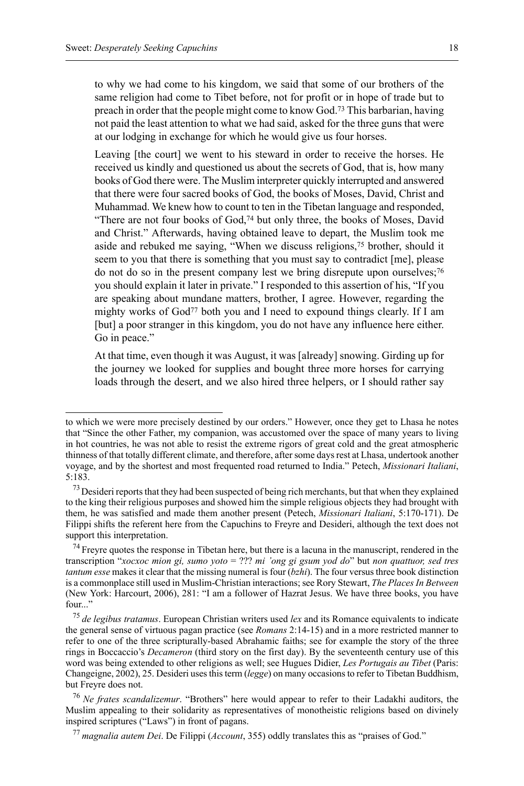to why we had come to his kingdom, we said that some of our brothers of the same religion had come to Tibet before, not for profit or in hope of trade but to preach in order that the people might come to know God.[73](#page-17-0) This barbarian, having not paid the least attention to what we had said, asked for the three guns that were at our lodging in exchange for which he would give us four horses.

Leaving [the court] we went to his steward in order to receive the horses. He received us kindly and questioned us about the secrets of God, that is, how many books of God there were. The Muslim interpreter quickly interrupted and answered that there were four sacred books of God, the books of Moses, David, Christ and Muhammad. We knew how to count to ten in the Tibetan language and responded, "There are not four books of God,<sup>[74](#page-17-1)</sup> but only three, the books of Moses, David and Christ." Afterwards, having obtained leave to depart, the Muslim took me aside and rebuked me saying, "When we discuss religions,[75](#page-17-2) brother, should it seem to you that there is something that you must say to contradict [me], please do not do so in the present company lest we bring disrepute upon ourselves;[76](#page-17-3) you should explain it later in private." I responded to this assertion of his, "If you are speaking about mundane matters, brother, I agree. However, regarding the mighty works of God<sup>[77](#page-17-4)</sup> both you and I need to expound things clearly. If I am [but] a poor stranger in this kingdom, you do not have any influence here either. Go in peace."

At that time, even though it was August, it was [already] snowing. Girding up for the journey we looked for supplies and bought three more horses for carrying loads through the desert, and we also hired three helpers, or I should rather say

<sup>77</sup> *magnalia autem Dei*. De Filippi (*Account*, 355) oddly translates this as "praises of God."

<span id="page-17-0"></span>to which we were more precisely destined by our orders." However, once they get to Lhasa he notes that "Since the other Father, my companion, was accustomed over the space of many years to living in hot countries, he was not able to resist the extreme rigors of great cold and the great atmospheric thinness of that totally different climate, and therefore, aftersome daysrest at Lhasa, undertook another voyage, and by the shortest and most frequented road returned to India." Petech, *Missionari Italiani*, 5:183.

<span id="page-17-1"></span> $^{73}$  Desideri reports that they had been suspected of being rich merchants, but that when they explained to the king their religious purposes and showed him the simple religious objects they had brought with them, he was satisfied and made them another present (Petech, *Missionari Italiani*, 5:170-171). De Filippi shifts the referent here from the Capuchins to Freyre and Desideri, although the text does not support this interpretation.

<span id="page-17-2"></span> $74$  Frevre quotes the response in Tibetan here, but there is a lacuna in the manuscript, rendered in the transcription "*xocxoc mion gi, sumo yoto* = ??? *mi 'ong gi gsum yod do*" but *non quattuor, sed tres tantum esse* makes it clear that the missing numeral is four (*bzhi*). The four versus three book distinction is a commonplace still used in Muslim-Christian interactions; see Rory Stewart, *The Places In Between* (New York: Harcourt, 2006), 281: "I am a follower of Hazrat Jesus. We have three books, you have four..."

<span id="page-17-3"></span><sup>75</sup> *de legibus tratamus*. European Christian writers used *lex* and its Romance equivalents to indicate the general sense of virtuous pagan practice (see *Romans* 2:14-15) and in a more restricted manner to refer to one of the three scripturally-based Abrahamic faiths; see for example the story of the three rings in Boccaccio's *Decameron* (third story on the first day). By the seventeenth century use of this word was being extended to other religions as well; see Hugues Didier, *Les Portugais au Tibet* (Paris: Changeigne, 2002), 25. Desideri usesthisterm (*legge*) on many occasionsto refer to Tibetan Buddhism, but Freyre does not.

<span id="page-17-4"></span><sup>76</sup> *Ne frates scandalizemur*. "Brothers" here would appear to refer to their Ladakhi auditors, the Muslim appealing to their solidarity as representatives of monotheistic religions based on divinely inspired scriptures ("Laws") in front of pagans.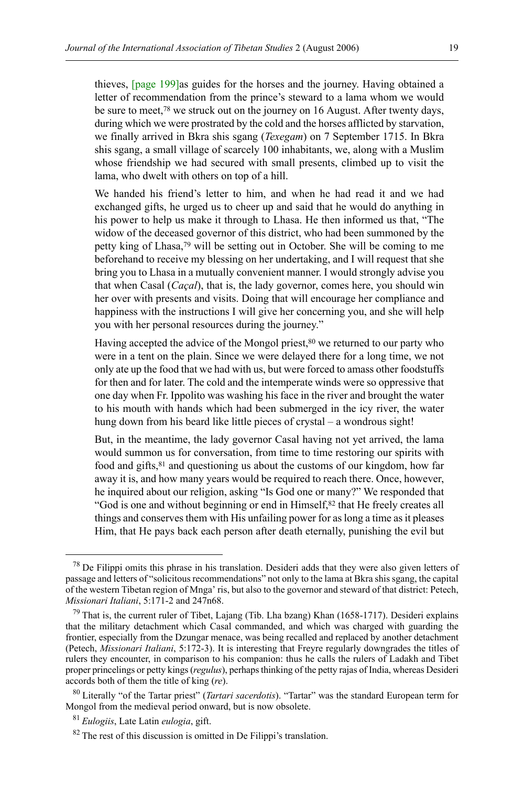thieves, [page 199]as guides for the horses and the journey. Having obtained a letter of recommendation from the prince's steward to a lama whom we would be sure to meet,<sup>[78](#page-18-0)</sup> we struck out on the journey on 16 August. After twenty days, during which we were prostrated by the cold and the horses afflicted by starvation, we finally arrived in Bkra shis sgang (*Texegam*) on 7 September 1715. In Bkra shis sgang, a small village of scarcely 100 inhabitants, we, along with a Muslim whose friendship we had secured with small presents, climbed up to visit the lama, who dwelt with others on top of a hill.

We handed his friend's letter to him, and when he had read it and we had exchanged gifts, he urged us to cheer up and said that he would do anything in his power to help us make it through to Lhasa. He then informed us that, "The widow of the deceased governor of this district, who had been summoned by the petty king of Lhasa,[79](#page-18-1) will be setting out in October. She will be coming to me beforehand to receive my blessing on her undertaking, and I will request that she bring you to Lhasa in a mutually convenient manner. I would strongly advise you that when Casal (*Caçal*), that is, the lady governor, comes here, you should win her over with presents and visits. Doing that will encourage her compliance and happiness with the instructions I will give her concerning you, and she will help you with her personal resources during the journey."

Having accepted the advice of the Mongol priest,<sup>[80](#page-18-2)</sup> we returned to our party who were in a tent on the plain. Since we were delayed there for a long time, we not only ate up the food that we had with us, but were forced to amass other foodstuffs for then and for later. The cold and the intemperate winds were so oppressive that one day when Fr. Ippolito was washing his face in the river and brought the water to his mouth with hands which had been submerged in the icy river, the water hung down from his beard like little pieces of crystal – a wondrous sight!

But, in the meantime, the lady governor Casal having not yet arrived, the lama would summon us for conversation, from time to time restoring our spirits with food and gifts,[81](#page-18-3) and questioning us about the customs of our kingdom, how far away it is, and how many years would be required to reach there. Once, however, he inquired about our religion, asking "Is God one or many?" We responded that "God is one and without beginning or end in Himself,<sup>[82](#page-18-4)</sup> that He freely creates all things and conserves them with His unfailing power for as long a time as it pleases Him, that He pays back each person after death eternally, punishing the evil but

<span id="page-18-1"></span><span id="page-18-0"></span> $78$  De Filippi omits this phrase in his translation. Desideri adds that they were also given letters of passage and letters of "solicitous recommendations" not only to the lama at Bkra shis sgang, the capital of the western Tibetan region of Mnga' ris, but also to the governor and steward of that district: Petech, *Missionari Italiani*, 5:171-2 and 247n68.

<span id="page-18-3"></span><span id="page-18-2"></span> $^{79}$  That is, the current ruler of Tibet, Lajang (Tib. Lha bzang) Khan (1658-1717). Desideri explains that the military detachment which Casal commanded, and which was charged with guarding the frontier, especially from the Dzungar menace, was being recalled and replaced by another detachment (Petech, *Missionari Italiani*, 5:172-3). It is interesting that Freyre regularly downgrades the titles of rulers they encounter, in comparison to his companion: thus he calls the rulers of Ladakh and Tibet proper princelings or petty kings(*regulus*), perhapsthinking of the petty rajas of India, whereas Desideri accords both of them the title of king (*re*).

<span id="page-18-4"></span><sup>80</sup> Literally "of the Tartar priest" (*Tartari sacerdotis*). "Tartar" was the standard European term for Mongol from the medieval period onward, but is now obsolete.

<sup>81</sup> *Eulogiis*, Late Latin *eulogia*, gift.

 $82$  The rest of this discussion is omitted in De Filippi's translation.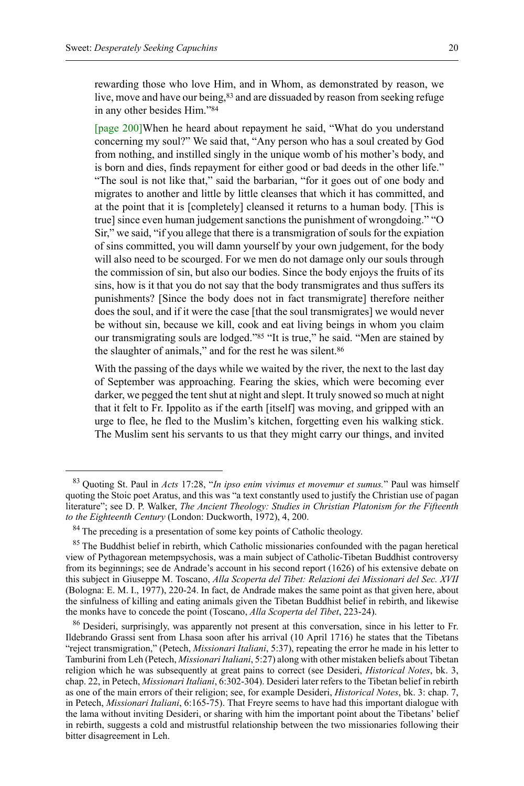rewarding those who love Him, and in Whom, as demonstrated by reason, we live, move and have our being,<sup>[83](#page-19-0)</sup> and are dissuaded by reason from seeking refuge in any other besides Him."[84](#page-19-1)

[page 200]When he heard about repayment he said, "What do you understand concerning my soul?" We said that, "Any person who has a soul created by God from nothing, and instilled singly in the unique womb of his mother's body, and is born and dies, finds repayment for either good or bad deeds in the other life." "The soul is not like that," said the barbarian, "for it goes out of one body and migrates to another and little by little cleanses that which it has committed, and at the point that it is [completely] cleansed it returns to a human body. [This is true] since even human judgement sanctions the punishment of wrongdoing." "O Sir," we said, "if you allege that there is a transmigration of souls for the expiation of sins committed, you will damn yourself by your own judgement, for the body will also need to be scourged. For we men do not damage only our souls through the commission of sin, but also our bodies. Since the body enjoys the fruits of its sins, how is it that you do not say that the body transmigrates and thus suffers its punishments? [Since the body does not in fact transmigrate] therefore neither does the soul, and if it were the case [that the soul transmigrates] we would never be without sin, because we kill, cook and eat living beings in whom you claim our transmigrating souls are lodged."[85](#page-19-2) "It is true," he said. "Men are stained by the slaughter of animals," and for the rest he was silent.<sup>[86](#page-19-3)</sup>

With the passing of the days while we waited by the river, the next to the last day of September was approaching. Fearing the skies, which were becoming ever darker, we pegged the tent shut at night and slept. It truly snowed so much at night that it felt to Fr. Ippolito as if the earth [itself] was moving, and gripped with an urge to flee, he fled to the Muslim's kitchen, forgetting even his walking stick. The Muslim sent his servants to us that they might carry our things, and invited

<span id="page-19-2"></span><span id="page-19-1"></span><span id="page-19-0"></span><sup>83</sup> Quoting St. Paul in *Acts* 17:28, "*In ipso enim vivimus et movemur et sumus.*" Paul was himself quoting the Stoic poet Aratus, and this was "a text constantly used to justify the Christian use of pagan literature"; see D. P. Walker, *The Ancient Theology: Studies in Christian Platonism for the Fifteenth to the Eighteenth Century* (London: Duckworth, 1972), 4, 200.

<sup>&</sup>lt;sup>84</sup> The preceding is a presentation of some key points of Catholic theology.

<span id="page-19-3"></span><sup>&</sup>lt;sup>85</sup> The Buddhist belief in rebirth, which Catholic missionaries confounded with the pagan heretical view of Pythagorean metempsychosis, was a main subject of Catholic-Tibetan Buddhist controversy from its beginnings; see de Andrade's account in his second report (1626) of his extensive debate on this subject in Giuseppe M. Toscano, *Alla Scoperta del Tibet: Relazioni dei Missionari del Sec. XVII* (Bologna: E. M. I., 1977), 220-24. In fact, de Andrade makes the same point as that given here, about the sinfulness of killing and eating animals given the Tibetan Buddhist belief in rebirth, and likewise the monks have to concede the point (Toscano, *Alla Scoperta del Tibet*, 223-24).

<sup>86</sup> Desideri, surprisingly, was apparently not present at this conversation, since in his letter to Fr. Ildebrando Grassi sent from Lhasa soon after his arrival (10 April 1716) he states that the Tibetans "reject transmigration," (Petech, *Missionari Italiani*, 5:37), repeating the error he made in his letter to Tamburini from Leh (Petech, *Missionari Italiani*, 5:27) along with other mistaken beliefs about Tibetan religion which he was subsequently at great pains to correct (see Desideri, *Historical Notes*, bk. 3, chap. 22, in Petech, *Missionari Italiani*, 6:302-304). Desideri later refers to the Tibetan belief in rebirth as one of the main errors of their religion; see, for example Desideri, *Historical Notes*, bk. 3: chap. 7, in Petech, *Missionari Italiani*, 6:165-75). That Freyre seems to have had this important dialogue with the lama without inviting Desideri, or sharing with him the important point about the Tibetans' belief in rebirth, suggests a cold and mistrustful relationship between the two missionaries following their bitter disagreement in Leh.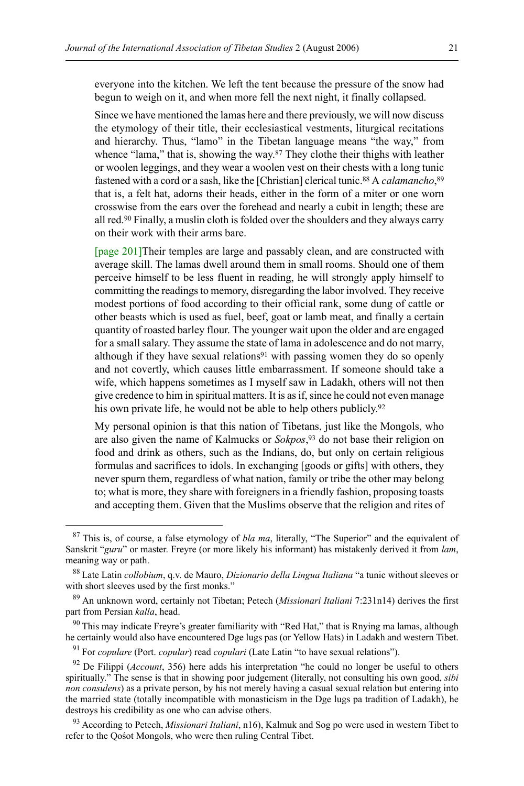everyone into the kitchen. We left the tent because the pressure of the snow had begun to weigh on it, and when more fell the next night, it finally collapsed.

Since we have mentioned the lamas here and there previously, we will now discuss the etymology of their title, their ecclesiastical vestments, liturgical recitations and hierarchy. Thus, "lamo" in the Tibetan language means "the way," from whence "lama," that is, showing the way.<sup>[87](#page-20-0)</sup> They clothe their thighs with leather or woolen leggings, and they wear a woolen vest on their chests with a long tunic fastened with a cord or a sash, like the [Christian] clerical tunic.[88](#page-20-1) A *calamancho*, [89](#page-20-2) that is, a felt hat, adorns their heads, either in the form of a miter or one worn crosswise from the ears over the forehead and nearly a cubit in length; these are all red.[90](#page-20-3) Finally, a muslin cloth is folded over the shoulders and they always carry on their work with their arms bare.

[page 201]Their temples are large and passably clean, and are constructed with average skill. The lamas dwell around them in small rooms. Should one of them perceive himself to be less fluent in reading, he will strongly apply himself to committing the readingsto memory, disregarding the labor involved. They receive modest portions of food according to their official rank, some dung of cattle or other beasts which is used as fuel, beef, goat or lamb meat, and finally a certain quantity of roasted barley flour. The younger wait upon the older and are engaged for a small salary. They assume the state of lama in adolescence and do not marry, although if they have sexual relations<sup>[91](#page-20-4)</sup> with passing women they do so openly and not covertly, which causes little embarrassment. If someone should take a wife, which happens sometimes as I myself saw in Ladakh, others will not then give credence to him in spiritual matters. It is as if, since he could not even manage his own private life, he would not be able to help others publicly. [92](#page-20-5)

My personal opinion is that this nation of Tibetans, just like the Mongols, who are also given the name of Kalmucks or *Sokpos*, [93](#page-20-6) do not base their religion on food and drink as others, such as the Indians, do, but only on certain religious formulas and sacrifices to idols. In exchanging [goods or gifts] with others, they never spurn them, regardless of what nation, family or tribe the other may belong to; what is more, they share with foreigners in a friendly fashion, proposing toasts and accepting them. Given that the Muslims observe that the religion and rites of

<span id="page-20-6"></span><sup>91</sup> For *copulare* (Port. *copular*) read *copulari* (Late Latin "to have sexual relations").

<span id="page-20-2"></span><span id="page-20-1"></span><span id="page-20-0"></span><sup>87</sup> This is, of course, a false etymology of *bla ma*, literally, "The Superior" and the equivalent of Sanskrit "*guru*" or master. Freyre (or more likely his informant) has mistakenly derived it from *lam*, meaning way or path.

<span id="page-20-4"></span><span id="page-20-3"></span><sup>88</sup> Late Latin *collobium*, q.v. de Mauro, *Dizionario della Lingua Italiana* "a tunic without sleeves or with short sleeves used by the first monks.'

<span id="page-20-5"></span><sup>89</sup> An unknown word, certainly not Tibetan; Petech (*Missionari Italiani* 7:231n14) derives the first part from Persian *kalla*, head.

 $90$  This may indicate Freyre's greater familiarity with "Red Hat," that is Rnying ma lamas, although he certainly would also have encountered Dge lugs pas (or Yellow Hats) in Ladakh and western Tibet.

<sup>92</sup> De Filippi (*Account*, 356) here adds his interpretation "he could no longer be useful to others spiritually." The sense is that in showing poor judgement (literally, not consulting his own good, *sibi non consulens*) as a private person, by his not merely having a casual sexual relation but entering into the married state (totally incompatible with monasticism in the Dge lugs pa tradition of Ladakh), he destroys his credibility as one who can advise others.

<sup>93</sup> According to Petech, *Missionari Italiani*, n16), Kalmuk and Sog po were used in western Tibet to refer to the Qośot Mongols, who were then ruling Central Tibet.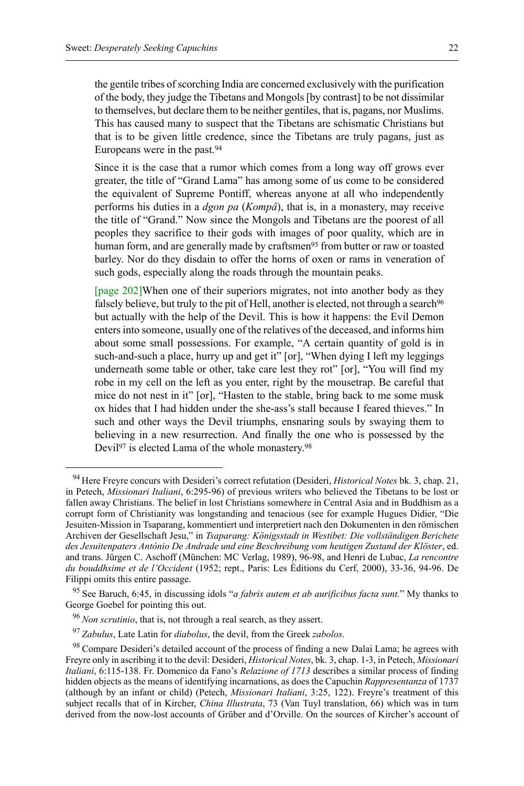the gentile tribes of scorching India are concerned exclusively with the purification of the body, they judge the Tibetans and Mongols[by contrast] to be not dissimilar to themselves, but declare them to be neither gentiles, that is, pagans, nor Muslims. This has caused many to suspect that the Tibetans are schismatic Christians but that is to be given little credence, since the Tibetans are truly pagans, just as Europeans were in the past.[94](#page-21-0)

Since it is the case that a rumor which comes from a long way off grows ever greater, the title of "Grand Lama" has among some of us come to be considered the equivalent of Supreme Pontiff, whereas anyone at all who independently performs his duties in a *dgon pa* (*Kompâ*), that is, in a monastery, may receive the title of "Grand." Now since the Mongols and Tibetans are the poorest of all peoples they sacrifice to their gods with images of poor quality, which are in human form, and are generally made by craftsmen<sup>[95](#page-21-1)</sup> from butter or raw or toasted barley. Nor do they disdain to offer the horns of oxen or rams in veneration of such gods, especially along the roads through the mountain peaks.

[page 202]When one of their superiors migrates, not into another body as they falsely believe, but truly to the pit of Hell, another is elected, not through a search<sup>[96](#page-21-2)</sup> but actually with the help of the Devil. This is how it happens: the Evil Demon entersinto someone, usually one of the relatives of the deceased, and informs him about some small possessions. For example, "A certain quantity of gold is in such-and-such a place, hurry up and get it" [or], "When dying I left my leggings underneath some table or other, take care lest they rot" [or], "You will find my robe in my cell on the left as you enter, right by the mousetrap. Be careful that mice do not nest in it" [or], "Hasten to the stable, bring back to me some musk ox hides that I had hidden under the she-ass's stall because I feared thieves." In such and other ways the Devil triumphs, ensnaring souls by swaying them to believing in a new resurrection. And finally the one who is possessed by the Devil[97](#page-21-3) is elected Lama of the whole monastery. [98](#page-21-4)

<span id="page-21-1"></span><span id="page-21-0"></span><sup>94</sup> Here Freyre concurs with Desideri's correct refutation (Desideri, *Historical Notes* bk. 3, chap. 21, in Petech, *Missionari Italiani*, 6:295-96) of previous writers who believed the Tibetans to be lost or fallen away Christians. The belief in lost Christians somewhere in Central Asia and in Buddhism as a corrupt form of Christianity was longstanding and tenacious (see for example Hugues Didier, "Die Jesuiten-Mission in Tsaparang, kommentiert und interpretiert nach den Dokumenten in den römischen Archiven der Gesellschaft Jesu," in *Tsaparang: Königsstadt in Westibet: Die vollständigen Berichete des Jesuitenpaters António De Andrade und eine Beschreibung vom heutigen Zustand der Klöster*, ed. and trans. Jürgen C. Aschoff (München: MC Verlag, 1989), 96-98, and Henri de Lubac, *La rencontre du bouddhsime et de l'Occident* (1952; rept., Paris: Les Èditions du Cerf, 2000), 33-36, 94-96. De Filippi omits this entire passage.

<span id="page-21-4"></span><span id="page-21-3"></span><span id="page-21-2"></span><sup>95</sup> See Baruch, 6:45, in discussing idols "*a fabris autem et ab aurificibus facta sunt.*" My thanks to George Goebel for pointing this out.

<sup>96</sup> *Non scrutinio*, that is, not through a real search, as they assert.

<sup>97</sup> *Zabulus*, Late Latin for *diabolus*, the devil, from the Greek *zabolos*.

<sup>&</sup>lt;sup>98</sup> Compare Desideri's detailed account of the process of finding a new Dalai Lama; he agrees with Freyre only in ascribing it to the devil: Desideri, *Historical Notes*, bk. 3, chap. 1-3, in Petech, *Missionari Italiani*, 6:115-138. Fr. Domenico da Fano's *Relazione of 1713* describes a similar process of finding hidden objects as the means of identifying incarnations, as does the Capuchin *Rappresentanza* of 1737 (although by an infant or child) (Petech, *Missionari Italiani*, 3:25, 122). Freyre's treatment of this subject recalls that of in Kircher, *China Illustrata*, 73 (Van Tuyl translation, 66) which was in turn derived from the now-lost accounts of Grüber and d'Orville. On the sources of Kircher's account of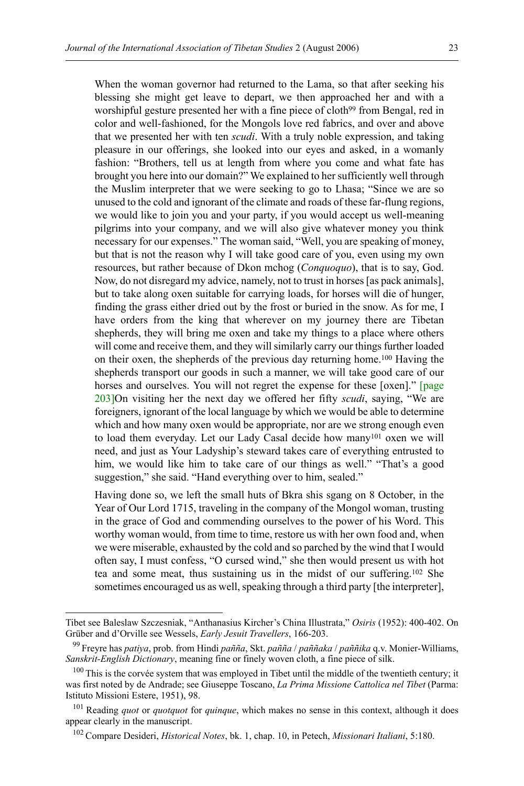When the woman governor had returned to the Lama, so that after seeking his blessing she might get leave to depart, we then approached her and with a worshipful gesture presented her with a fine piece of cloth<sup>[99](#page-22-0)</sup> from Bengal, red in color and well-fashioned, for the Mongols love red fabrics, and over and above that we presented her with ten *scudi*. With a truly noble expression, and taking pleasure in our offerings, she looked into our eyes and asked, in a womanly fashion: "Brothers, tell us at length from where you come and what fate has brought you here into our domain?" We explained to her sufficiently well through the Muslim interpreter that we were seeking to go to Lhasa; "Since we are so unused to the cold and ignorant of the climate and roads of these far-flung regions, we would like to join you and your party, if you would accept us well-meaning pilgrims into your company, and we will also give whatever money you think necessary for our expenses." The woman said, "Well, you are speaking of money, but that is not the reason why I will take good care of you, even using my own resources, but rather because of Dkon mchog (*Conquoquo*), that is to say, God. Now, do not disregard my advice, namely, not to trust in horses[as pack animals], but to take along oxen suitable for carrying loads, for horses will die of hunger, finding the grass either dried out by the frost or buried in the snow. As for me, I have orders from the king that wherever on my journey there are Tibetan shepherds, they will bring me oxen and take my things to a place where others will come and receive them, and they will similarly carry our things further loaded on their oxen, the shepherds of the previous day returning home.[100](#page-22-1) Having the shepherds transport our goods in such a manner, we will take good care of our horses and ourselves. You will not regret the expense for these [oxen]." [page 203]On visiting her the next day we offered her fifty *scudi*, saying, "We are foreigners, ignorant of the local language by which we would be able to determine which and how many oxen would be appropriate, nor are we strong enough even to load them everyday. Let our Lady Casal decide how many[101](#page-22-2) oxen we will need, and just as Your Ladyship's steward takes care of everything entrusted to him, we would like him to take care of our things as well." "That's a good suggestion," she said. "Hand everything over to him, sealed."

Having done so, we left the small huts of Bkra shis sgang on 8 October, in the Year of Our Lord 1715, traveling in the company of the Mongol woman, trusting in the grace of God and commending ourselves to the power of his Word. This worthy woman would, from time to time, restore us with her own food and, when we were miserable, exhausted by the cold and so parched by the wind that I would often say, I must confess, "O cursed wind," she then would present us with hot tea and some meat, thus sustaining us in the midst of our suffering.[102](#page-22-3) She sometimes encouraged us as well, speaking through a third party [the interpreter],

<span id="page-22-1"></span><span id="page-22-0"></span>Tibet see Baleslaw Szczesniak, "Anthanasius Kircher's China Illustrata," *Osiris* (1952): 400-402. On Grüber and d'Orville see Wessels, *Early Jesuit Travellers*, 166-203.

<span id="page-22-3"></span><span id="page-22-2"></span><sup>99</sup> Freyre has *patiya*, prob. from Hindi *pañña*, Skt. *pañña* / *paññaka* / *paññika* q.v. Monier-Williams, *Sanskrit-English Dictionary*, meaning fine or finely woven cloth, a fine piece of silk.

 $100$  This is the corvée system that was employed in Tibet until the middle of the twentieth century; it was first noted by de Andrade; see Giuseppe Toscano, *La Prima Missione Cattolica nel Tibet* (Parma: Istituto Missioni Estere, 1951), 98.

<sup>101</sup> Reading *quot* or *quotquot* for *quinque*, which makes no sense in this context, although it does appear clearly in the manuscript.

<sup>102</sup> Compare Desideri, *Historical Notes*, bk. 1, chap. 10, in Petech, *Missionari Italiani*, 5:180.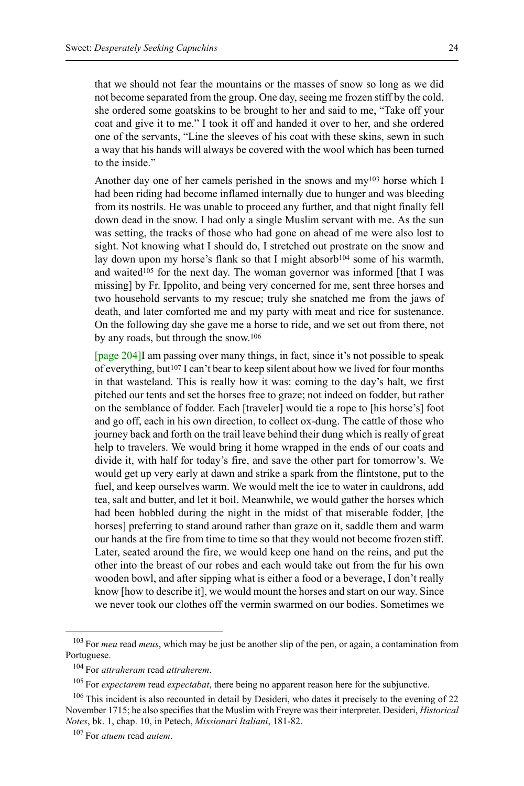that we should not fear the mountains or the masses of snow so long as we did not become separated from the group. One day, seeing me frozen stiff by the cold, she ordered some goatskins to be brought to her and said to me, "Take off your coat and give it to me." I took it off and handed it over to her, and she ordered one of the servants, "Line the sleeves of his coat with these skins, sewn in such a way that his hands will always be covered with the wool which has been turned to the inside."

Another day one of her camels perished in the snows and my[103](#page-23-0) horse which I had been riding had become inflamed internally due to hunger and was bleeding from its nostrils. He was unable to proceed any further, and that night finally fell down dead in the snow. I had only a single Muslim servant with me. As the sun was setting, the tracks of those who had gone on ahead of me were also lost to sight. Not knowing what I should do, I stretched out prostrate on the snow and lay down upon my horse's flank so that I might absorb<sup>[104](#page-23-1)</sup> some of his warmth, and waited<sup>[105](#page-23-2)</sup> for the next day. The woman governor was informed [that I was missing] by Fr. Ippolito, and being very concerned for me, sent three horses and two household servants to my rescue; truly she snatched me from the jaws of death, and later comforted me and my party with meat and rice for sustenance. On the following day she gave me a horse to ride, and we set out from there, not by any roads, but through the snow. [106](#page-23-3)

[page 204]I am passing over many things, in fact, since it's not possible to speak of everything, but[107](#page-23-4) I can't bear to keep silent about how we lived for four months in that wasteland. This is really how it was: coming to the day's halt, we first pitched our tents and set the horses free to graze; not indeed on fodder, but rather on the semblance of fodder. Each [traveler] would tie a rope to [his horse's] foot and go off, each in his own direction, to collect ox-dung. The cattle of those who journey back and forth on the trail leave behind their dung which is really of great help to travelers. We would bring it home wrapped in the ends of our coats and divide it, with half for today's fire, and save the other part for tomorrow's. We would get up very early at dawn and strike a spark from the flintstone, put to the fuel, and keep ourselves warm. We would melt the ice to water in cauldrons, add tea, salt and butter, and let it boil. Meanwhile, we would gather the horses which had been hobbled during the night in the midst of that miserable fodder, [the horses] preferring to stand around rather than graze on it, saddle them and warm our hands at the fire from time to time so that they would not become frozen stiff. Later, seated around the fire, we would keep one hand on the reins, and put the other into the breast of our robes and each would take out from the fur his own wooden bowl, and after sipping what is either a food or a beverage, I don't really know [how to describe it], we would mount the horses and start on our way. Since we never took our clothes off the vermin swarmed on our bodies. Sometimes we

<span id="page-23-3"></span><span id="page-23-2"></span><span id="page-23-1"></span><span id="page-23-0"></span><sup>103</sup> For *meu* read *meus*, which may be just be another slip of the pen, or again, a contamination from Portuguese.

<span id="page-23-4"></span><sup>104</sup> For *attraheram* read *attraherem*.

<sup>105</sup> For *expectarem* read *expectabat*, there being no apparent reason here for the subjunctive.

<sup>&</sup>lt;sup>106</sup> This incident is also recounted in detail by Desideri, who dates it precisely to the evening of 22 November 1715; he also specifiesthat the Muslim with Freyre wastheir interpreter. Desideri, *Historical Notes*, bk. 1, chap. 10, in Petech, *Missionari Italiani*, 181-82.

<sup>107</sup> For *atuem* read *autem*.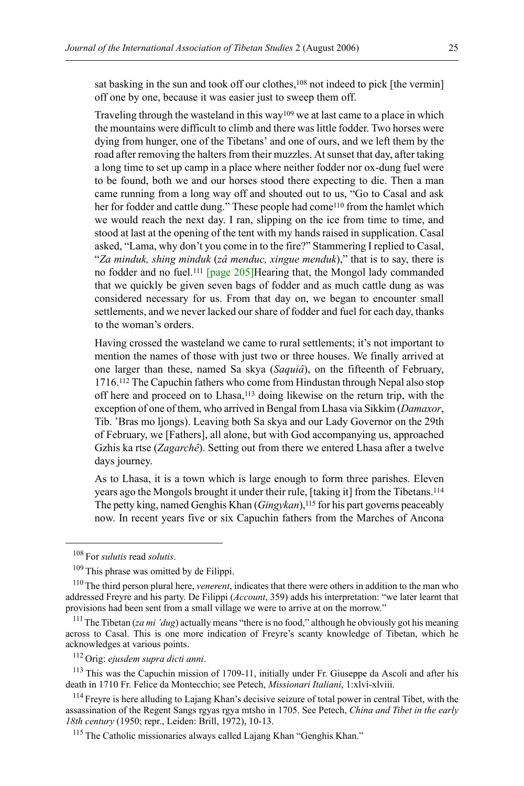sat basking in the sun and took off our clothes,<sup>[108](#page-24-0)</sup> not indeed to pick [the vermin] off one by one, because it was easier just to sweep them off.

Traveling through the wasteland in this way[109](#page-24-1) we at last came to a place in which the mountains were difficult to climb and there was little fodder. Two horses were dying from hunger, one of the Tibetans' and one of ours, and we left them by the road after removing the halters from their muzzles. At sunset that day, after taking a long time to set up camp in a place where neither fodder nor ox-dung fuel were to be found, both we and our horses stood there expecting to die. Then a man came running from a long way off and shouted out to us, "Go to Casal and ask her for fodder and cattle dung." These people had come<sup>[110](#page-24-2)</sup> from the hamlet which we would reach the next day. I ran, slipping on the ice from time to time, and stood at last at the opening of the tent with my hands raised in supplication. Casal asked, "Lama, why don't you come in to the fire?" Stammering I replied to Casal, "*Za minduk, shing minduk* (*zâ menduc, xingue menduk*)," that is to say, there is no fodder and no fuel.[111](#page-24-3) [page 205]Hearing that, the Mongol lady commanded that we quickly be given seven bags of fodder and as much cattle dung as was considered necessary for us. From that day on, we began to encounter small settlements, and we never lacked ourshare of fodder and fuel for each day, thanks to the woman's orders.

Having crossed the wasteland we came to rural settlements; it's not important to mention the names of those with just two or three houses. We finally arrived at one larger than these, named Sa skya (*Saquiâ*), on the fifteenth of February, 1716.[112](#page-24-4) The Capuchin fathers who come from Hindustan through Nepal also stop off here and proceed on to Lhasa,[113](#page-24-5) doing likewise on the return trip, with the exception of one of them, who arrived in Bengal from Lhasa via Sikkim (*Damaxor*, Tib. 'Bras mo ljongs). Leaving both Sa skya and our Lady Governor on the 29th of February, we [Fathers], all alone, but with God accompanying us, approached Gzhis ka rtse (*Zagarchê*). Setting out from there we entered Lhasa after a twelve days journey.

<span id="page-24-0"></span>As to Lhasa, it is a town which is large enough to form three parishes. Eleven years ago the Mongols brought it under their rule, [taking it] from the Tibetans.[114](#page-24-6) The petty king, named Genghis Khan (*Gingykan*),[115](#page-24-7) for his part governs peaceably now. In recent years five or six Capuchin fathers from the Marches of Ancona

<span id="page-24-3"></span><span id="page-24-2"></span><span id="page-24-1"></span><sup>108</sup> For *sulutis* read *solutis*.

<sup>&</sup>lt;sup>109</sup> This phrase was omitted by de Filippi.

<span id="page-24-4"></span><sup>110</sup> The third person plural here, *venerent*, indicates that there were others in addition to the man who addressed Freyre and his party. De Filippi (*Account*, 359) adds his interpretation: "we later learnt that provisions had been sent from a small village we were to arrive at on the morrow."

<span id="page-24-6"></span><span id="page-24-5"></span><sup>&</sup>lt;sup>111</sup> The Tibetan (*za mi* '*dug*) actually means "there is no food," although he obviously got his meaning across to Casal. This is one more indication of Freyre's scanty knowledge of Tibetan, which he acknowledges at various points.

<sup>112</sup> Orig: *ejusdem supra dicti anni*.

<span id="page-24-7"></span><sup>113</sup> This was the Capuchin mission of 1709-11, initially under Fr. Giuseppe da Ascoli and after his death in 1710 Fr. Felice da Montecchio; see Petech, *Missionari Italiani*, 1:xlvi-xlviii.

<sup>&</sup>lt;sup>114</sup> Frevre is here alluding to Lajang Khan's decisive seizure of total power in central Tibet, with the assassination of the Regent Sangs rgyas rgya mtsho in 1705. See Petech, *China and Tibet in the early 18th century* (1950; repr., Leiden: Brill, 1972), 10-13.

 $115$  The Catholic missionaries always called Lajang Khan "Genghis Khan."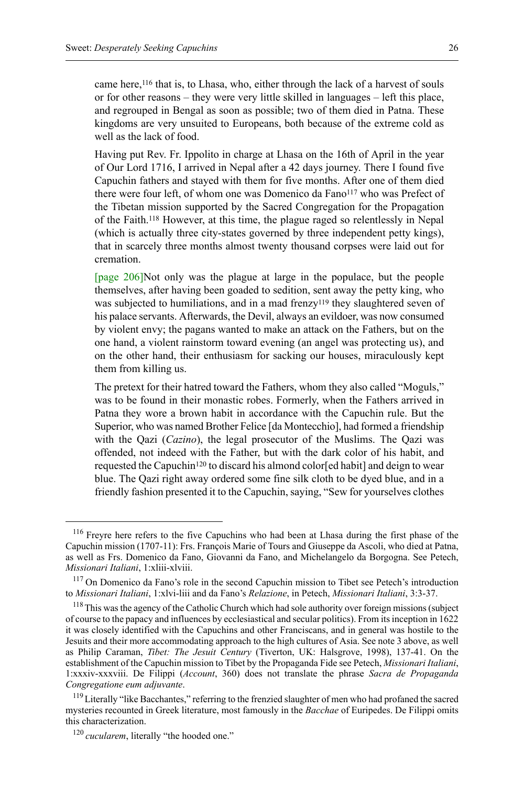came here,[116](#page-25-0) that is, to Lhasa, who, either through the lack of a harvest of souls or for other reasons – they were very little skilled in languages – left this place, and regrouped in Bengal as soon as possible; two of them died in Patna. These kingdoms are very unsuited to Europeans, both because of the extreme cold as well as the lack of food.

Having put Rev. Fr. Ippolito in charge at Lhasa on the 16th of April in the year of Our Lord 1716, I arrived in Nepal after a 42 days journey. There I found five Capuchin fathers and stayed with them for five months. After one of them died there were four left, of whom one was Domenico da Fano[117](#page-25-1) who was Prefect of the Tibetan mission supported by the Sacred Congregation for the Propagation of the Faith.[118](#page-25-2) However, at this time, the plague raged so relentlessly in Nepal (which is actually three city-states governed by three independent petty kings), that in scarcely three months almost twenty thousand corpses were laid out for cremation.

[page 206]Not only was the plague at large in the populace, but the people themselves, after having been goaded to sedition, sent away the petty king, who was subjected to humiliations, and in a mad frenzy<sup>[119](#page-25-3)</sup> they slaughtered seven of his palace servants. Afterwards, the Devil, always an evildoer, was now consumed by violent envy; the pagans wanted to make an attack on the Fathers, but on the one hand, a violent rainstorm toward evening (an angel was protecting us), and on the other hand, their enthusiasm for sacking our houses, miraculously kept them from killing us.

The pretext for their hatred toward the Fathers, whom they also called "Moguls," was to be found in their monastic robes. Formerly, when the Fathers arrived in Patna they wore a brown habit in accordance with the Capuchin rule. But the Superior, who was named Brother Felice [da Montecchio], had formed a friendship with the Qazi (*Cazino*), the legal prosecutor of the Muslims. The Qazi was offended, not indeed with the Father, but with the dark color of his habit, and requested the Capuchin[120](#page-25-4) to discard his almond color[ed habit] and deign to wear blue. The Qazi right away ordered some fine silk cloth to be dyed blue, and in a friendly fashion presented it to the Capuchin, saying, "Sew for yourselves clothes

<span id="page-25-2"></span><span id="page-25-1"></span><span id="page-25-0"></span><sup>&</sup>lt;sup>116</sup> Frevre here refers to the five Capuchins who had been at Lhasa during the first phase of the Capuchin mission (1707-11): Frs. François Marie of Tours and Giuseppe da Ascoli, who died at Patna, as well as Frs. Domenico da Fano, Giovanni da Fano, and Michelangelo da Borgogna. See Petech, *Missionari Italiani*, 1:xliii-xlviii.

<sup>&</sup>lt;sup>117</sup> On Domenico da Fano's role in the second Capuchin mission to Tibet see Petech's introduction to *Missionari Italiani*, 1:xlvi-liii and da Fano's *Relazione*, in Petech, *Missionari Italiani*, 3:3-37.

<span id="page-25-3"></span><sup>&</sup>lt;sup>118</sup>This was the agency of the Catholic Church which had sole authority over foreign missions (subject of course to the papacy and influences by ecclesiastical and secular politics). From itsinception in 1622 it was closely identified with the Capuchins and other Franciscans, and in general was hostile to the Jesuits and their more accommodating approach to the high cultures of Asia. See note 3 above, as well as Philip Caraman, *Tibet: The Jesuit Century* (Tiverton, UK: Halsgrove, 1998), 137-41. On the establishment of the Capuchin mission to Tibet by the Propaganda Fide see Petech, *Missionari Italiani*, 1:xxxiv-xxxviii. De Filippi (*Account*, 360) does not translate the phrase *Sacra de Propaganda Congregatione eum adjuvante*.

<span id="page-25-4"></span><sup>&</sup>lt;sup>119</sup> Literally "like Bacchantes," referring to the frenzied slaughter of men who had profaned the sacred mysteries recounted in Greek literature, most famously in the *Bacchae* of Euripedes. De Filippi omits this characterization.

<sup>&</sup>lt;sup>120</sup> *cucularem*, literally "the hooded one."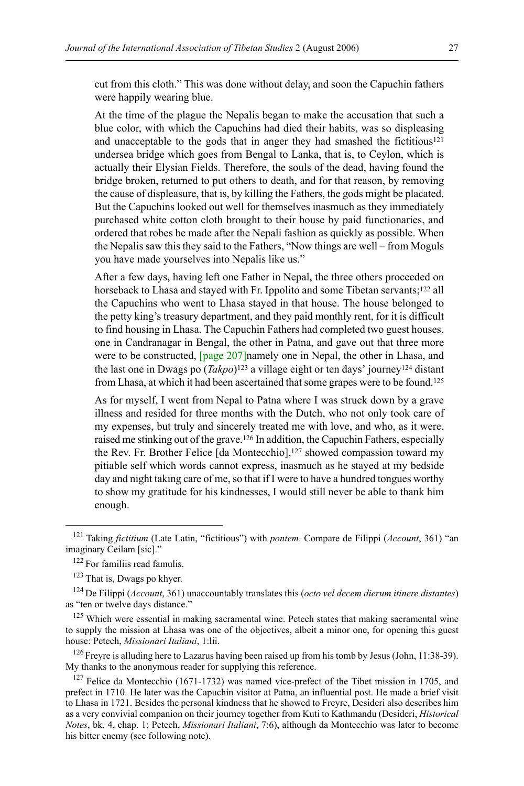cut from this cloth." This was done without delay, and soon the Capuchin fathers were happily wearing blue.

At the time of the plague the Nepalis began to make the accusation that such a blue color, with which the Capuchins had died their habits, was so displeasing and unacceptable to the gods that in anger they had smashed the fictitious<sup>[121](#page-26-0)</sup> undersea bridge which goes from Bengal to Lanka, that is, to Ceylon, which is actually their Elysian Fields. Therefore, the souls of the dead, having found the bridge broken, returned to put others to death, and for that reason, by removing the cause of displeasure, that is, by killing the Fathers, the gods might be placated. But the Capuchins looked out well for themselves inasmuch as they immediately purchased white cotton cloth brought to their house by paid functionaries, and ordered that robes be made after the Nepali fashion as quickly as possible. When the Nepalis saw this they said to the Fathers, "Now things are well – from Moguls you have made yourselves into Nepalis like us."

After a few days, having left one Father in Nepal, the three others proceeded on horseback to Lhasa and stayed with Fr. Ippolito and some Tibetan servants;<sup>[122](#page-26-1)</sup> all the Capuchins who went to Lhasa stayed in that house. The house belonged to the petty king's treasury department, and they paid monthly rent, for it is difficult to find housing in Lhasa. The Capuchin Fathers had completed two guest houses, one in Candranagar in Bengal, the other in Patna, and gave out that three more were to be constructed,  $\lceil \text{page 207} \rceil$ namely one in Nepal, the other in Lhasa, and the last one in Dwags po (*Takpo*) [123](#page-26-2) a village eight or ten days' journey[124](#page-26-3) distant from Lhasa, at which it had been ascertained that some grapes were to be found.<sup>[125](#page-26-4)</sup>

As for myself, I went from Nepal to Patna where I was struck down by a grave illness and resided for three months with the Dutch, who not only took care of my expenses, but truly and sincerely treated me with love, and who, as it were, raised me stinking out of the grave.[126](#page-26-5) In addition, the Capuchin Fathers, especially the Rev. Fr. Brother Felice [da Montecchio],<sup>[127](#page-26-6)</sup> showed compassion toward my pitiable self which words cannot express, inasmuch as he stayed at my bedside day and night taking care of me, so that if I were to have a hundred tongues worthy to show my gratitude for his kindnesses, I would still never be able to thank him enough.

<span id="page-26-3"></span><span id="page-26-2"></span><span id="page-26-1"></span><span id="page-26-0"></span><sup>121</sup> Taking *fictitium* (Late Latin, "fictitious") with *pontem*. Compare de Filippi (*Account*, 361) "an imaginary Ceilam [sic]."

<span id="page-26-4"></span><sup>122</sup> For familiis read famulis.

<sup>123</sup> That is, Dwags po khyer.

<span id="page-26-5"></span><sup>124</sup> De Filippi (*Account*, 361) unaccountably translates this (*octo vel decem dierum itinere distantes*) as "ten or twelve days distance."

<span id="page-26-6"></span><sup>&</sup>lt;sup>125</sup> Which were essential in making sacramental wine. Petech states that making sacramental wine to supply the mission at Lhasa was one of the objectives, albeit a minor one, for opening this guest house: Petech, *Missionari Italiani*, 1:lii.

<sup>&</sup>lt;sup>126</sup> Frevre is alluding here to Lazarus having been raised up from his tomb by Jesus (John, 11:38-39). My thanks to the anonymous reader for supplying this reference.

<sup>&</sup>lt;sup>127</sup> Felice da Montecchio (1671-1732) was named vice-prefect of the Tibet mission in 1705, and prefect in 1710. He later was the Capuchin visitor at Patna, an influential post. He made a brief visit to Lhasa in 1721. Besides the personal kindness that he showed to Freyre, Desideri also describes him as a very convivial companion on their journey together from Kuti to Kathmandu (Desideri, *Historical Notes*, bk. 4, chap. 1; Petech, *Missionari Italiani*, 7:6), although da Montecchio was later to become his bitter enemy (see following note).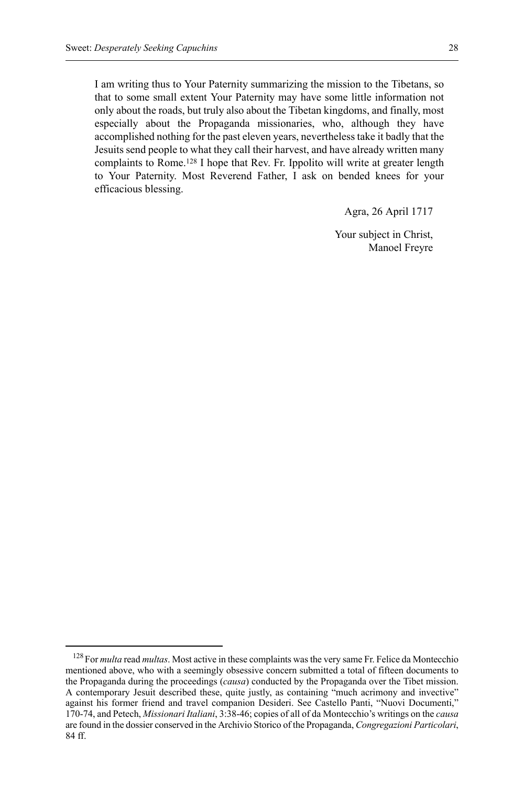I am writing thus to Your Paternity summarizing the mission to the Tibetans, so that to some small extent Your Paternity may have some little information not only about the roads, but truly also about the Tibetan kingdoms, and finally, most especially about the Propaganda missionaries, who, although they have accomplished nothing for the past eleven years, nevertheless take it badly that the Jesuits send people to what they call their harvest, and have already written many complaints to Rome.[128](#page-27-0) I hope that Rev. Fr. Ippolito will write at greater length to Your Paternity. Most Reverend Father, I ask on bended knees for your efficacious blessing.

Agra, 26 April 1717

Your subject in Christ, Manoel Freyre

<span id="page-27-0"></span><sup>128</sup>For *multa* read *multas*. Most active in these complaints wasthe very same Fr. Felice da Montecchio mentioned above, who with a seemingly obsessive concern submitted a total of fifteen documents to the Propaganda during the proceedings (*causa*) conducted by the Propaganda over the Tibet mission. A contemporary Jesuit described these, quite justly, as containing "much acrimony and invective" against his former friend and travel companion Desideri. See Castello Panti, "Nuovi Documenti," 170-74, and Petech, *Missionari Italiani*, 3:38-46; copies of all of da Montecchio's writings on the *causa* are found in the dossier conserved in the Archivio Storico of the Propaganda, *Congregazioni Particolari*, 84 ff.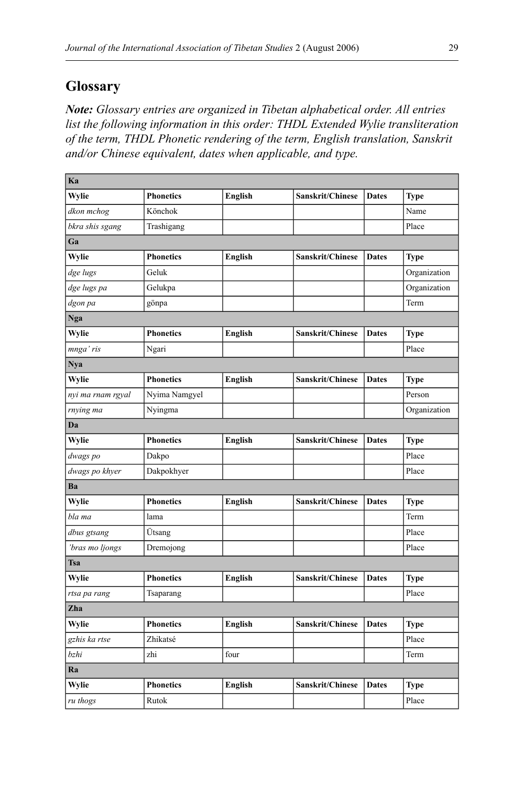### **Glossary**

*Note: Glossary entries are organized in Tibetan alphabetical order. All entries list the following information in this order: THDL Extended Wylie transliteration of the term, THDL Phonetic rendering of the term, English translation, Sanskrit and/or Chinese equivalent, dates when applicable, and type.*

| Ka                |                  |                |                  |              |              |  |  |  |
|-------------------|------------------|----------------|------------------|--------------|--------------|--|--|--|
| Wylie             | <b>Phonetics</b> | English        | Sanskrit/Chinese | <b>Dates</b> | Type         |  |  |  |
| dkon mchog        | Könchok          |                |                  |              | Name         |  |  |  |
| bkra shis sgang   | Trashigang       |                |                  |              | Place        |  |  |  |
| Ga                |                  |                |                  |              |              |  |  |  |
| Wylie             | <b>Phonetics</b> | English        | Sanskrit/Chinese | <b>Dates</b> | Type         |  |  |  |
| dge lugs          | Geluk            |                |                  |              | Organization |  |  |  |
| dge lugs pa       | Gelukpa          |                |                  |              | Organization |  |  |  |
| dgon pa           | gönpa            |                |                  |              | Term         |  |  |  |
| Nga               |                  |                |                  |              |              |  |  |  |
| Wylie             | <b>Phonetics</b> | English        | Sanskrit/Chinese | <b>Dates</b> | Type         |  |  |  |
| mnga' ris         | Ngari            |                |                  |              | Place        |  |  |  |
| <b>Nya</b>        |                  |                |                  |              |              |  |  |  |
| Wylie             | <b>Phonetics</b> | English        | Sanskrit/Chinese | <b>Dates</b> | Type         |  |  |  |
| nyi ma rnam rgyal | Nyima Namgyel    |                |                  |              | Person       |  |  |  |
| rnying ma         | Nyingma          |                |                  |              | Organization |  |  |  |
| Da                |                  |                |                  |              |              |  |  |  |
| Wylie             | <b>Phonetics</b> | English        | Sanskrit/Chinese | <b>Dates</b> | Type         |  |  |  |
| dwags po          | Dakpo            |                |                  |              | Place        |  |  |  |
| dwags po khyer    | Dakpokhyer       |                |                  |              | Place        |  |  |  |
| Ba                |                  |                |                  |              |              |  |  |  |
| Wylie             | <b>Phonetics</b> | English        | Sanskrit/Chinese | <b>Dates</b> | Type         |  |  |  |
| bla ma            | lama             |                |                  |              | Term         |  |  |  |
| dbus gtsang       | Utsang           |                |                  |              | Place        |  |  |  |
| 'bras mo ljongs   | Dremojong        |                |                  |              | Place        |  |  |  |
| <b>Tsa</b>        |                  |                |                  |              |              |  |  |  |
| Wylie             | <b>Phonetics</b> | <b>English</b> | Sanskrit/Chinese | <b>Dates</b> | Type         |  |  |  |
| rtsa pa rang      | Tsaparang        |                |                  |              | Place        |  |  |  |
| Zha               |                  |                |                  |              |              |  |  |  |
| Wylie             | <b>Phonetics</b> | English        | Sanskrit/Chinese | <b>Dates</b> | Type         |  |  |  |
| gzhis ka rtse     | Zhikatsé         |                |                  |              | Place        |  |  |  |
| bzhi              | zhi              | four           |                  |              | Term         |  |  |  |
| Ra                |                  |                |                  |              |              |  |  |  |
| Wylie             | <b>Phonetics</b> | English        | Sanskrit/Chinese | <b>Dates</b> | Type         |  |  |  |
| ru thogs          | Rutok            |                |                  |              | Place        |  |  |  |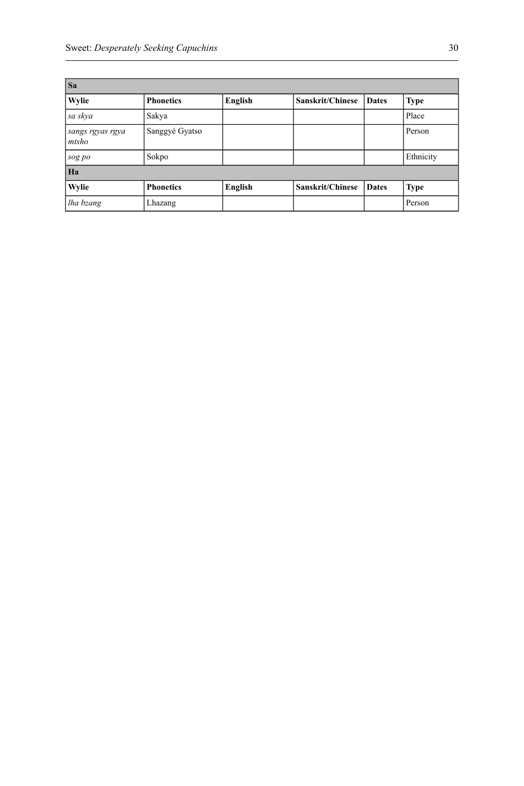| Sa                        |                  |         |                  |              |             |  |  |  |
|---------------------------|------------------|---------|------------------|--------------|-------------|--|--|--|
| Wylie                     | <b>Phonetics</b> | English | Sanskrit/Chinese | Dates        | <b>Type</b> |  |  |  |
| sa skya                   | Sakya            |         |                  |              | Place       |  |  |  |
| sangs rgyas rgya<br>mtsho | Sanggyé Gyatso   |         |                  |              | Person      |  |  |  |
| sog po                    | Sokpo            |         |                  |              | Ethnicity   |  |  |  |
| Ha                        |                  |         |                  |              |             |  |  |  |
| Wylie                     | <b>Phonetics</b> | English | Sanskrit/Chinese | <b>Dates</b> | <b>Type</b> |  |  |  |
| lha bzang                 | Lhazang          |         |                  |              | Person      |  |  |  |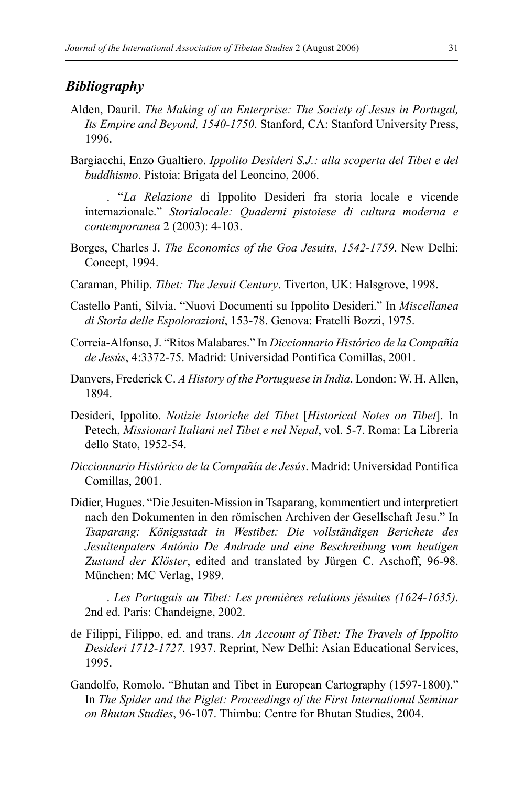#### *Bibliography*

- Alden, Dauril. *The Making of an Enterprise: The Society of Jesus in Portugal, Its Empire and Beyond, 1540-1750*. Stanford, CA: Stanford University Press, 1996.
- Bargiacchi, Enzo Gualtiero. *Ippolito Desideri S.J.: alla scoperta del Tibet e del buddhismo*. Pistoia: Brigata del Leoncino, 2006.
	- ———. "*La Relazione* di Ippolito Desideri fra storia locale e vicende internazionale." *Storialocale: Quaderni pistoiese di cultura moderna e contemporanea* 2 (2003): 4-103.
- Borges, Charles J. *The Economics of the Goa Jesuits, 1542-1759*. New Delhi: Concept, 1994.
- Caraman, Philip. *Tibet: The Jesuit Century*. Tiverton, UK: Halsgrove, 1998.
- Castello Panti, Silvia. "Nuovi Documenti su Ippolito Desideri." In *Miscellanea di Storia delle Espolorazioni*, 153-78. Genova: Fratelli Bozzi, 1975.
- Correia-Alfonso,J. "Ritos Malabares." In *Diccionnario Histórico de la Compañía de Jesús*, 4:3372-75. Madrid: Universidad Pontifica Comillas, 2001.
- Danvers,Frederick C. *A History of the Portuguese in India*. London: W. H. Allen, 1894.
- Desideri, Ippolito. *Notizie Istoriche del Tibet* [*Historical Notes on Tibet*]. In Petech, *Missionari Italiani nel Tibet e nel Nepal*, vol. 5-7. Roma: La Libreria dello Stato, 1952-54.
- *Diccionnario Histórico de la Compañía de Jesús*. Madrid: Universidad Pontifica Comillas, 2001.
- Didier, Hugues. "Die Jesuiten-Mission in Tsaparang, kommentiert und interpretiert nach den Dokumenten in den römischen Archiven der Gesellschaft Jesu." In *Tsaparang: Königsstadt in Westibet: Die vollständigen Berichete des Jesuitenpaters António De Andrade und eine Beschreibung vom heutigen Zustand der Klöster*, edited and translated by Jürgen C. Aschoff, 96-98. München: MC Verlag, 1989.
	- ———. *Les Portugais au Tibet: Les premières relations jésuites (1624-1635)*. 2nd ed. Paris: Chandeigne, 2002.
- de Filippi, Filippo, ed. and trans. *An Account of Tibet: The Travels of Ippolito Desideri 1712-1727*. 1937. Reprint, New Delhi: Asian Educational Services, 1995.
- Gandolfo, Romolo. "Bhutan and Tibet in European Cartography (1597-1800)." In *The Spider and the Piglet: Proceedings of the First International Seminar on Bhutan Studies*, 96-107. Thimbu: Centre for Bhutan Studies, 2004.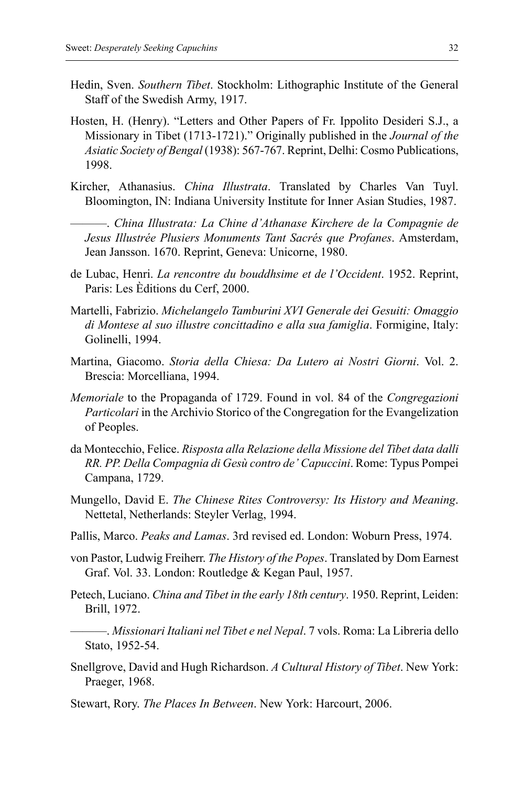- Hedin, Sven. *Southern Tibet*. Stockholm: Lithographic Institute of the General Staff of the Swedish Army, 1917.
- Hosten, H. (Henry). "Letters and Other Papers of Fr. Ippolito Desideri S.J., a Missionary in Tibet (1713-1721)." Originally published in the *Journal of the* Asiatic Society of Bengal (1938): 567-767. Reprint, Delhi: Cosmo Publications, 1998.
- Kircher, Athanasius. *China Illustrata*. Translated by Charles Van Tuyl. Bloomington, IN: Indiana University Institute for Inner Asian Studies, 1987.
	- ———. *China Illustrata: La Chine d'Athanase Kirchere de la Compagnie de Jesus Illustrée Plusiers Monuments Tant Sacrés que Profanes*. Amsterdam, Jean Jansson. 1670. Reprint, Geneva: Unicorne, 1980.
- de Lubac, Henri. *La rencontre du bouddhsime et de l'Occident*. 1952. Reprint, Paris: Les Èditions du Cerf, 2000.
- Martelli, Fabrizio. *Michelangelo Tamburini XVI Generale dei Gesuiti: Omaggio di Montese al suo illustre concittadino e alla sua famiglia*. Formigine, Italy: Golinelli, 1994.
- Martina, Giacomo. *Storia della Chiesa: Da Lutero ai Nostri Giorni*. Vol. 2. Brescia: Morcelliana, 1994.
- *Memoriale* to the Propaganda of 1729. Found in vol. 84 of the *Congregazioni Particolari* in the Archivio Storico of the Congregation for the Evangelization of Peoples.
- da Montecchio,Felice. *Risposta alla Relazione della Missione delTibet data dalli RR. PP. Della Compagnia di Gesù contro de' Capuccini*. Rome: TypusPompei Campana, 1729.
- Mungello, David E. *The Chinese Rites Controversy: Its History and Meaning*. Nettetal, Netherlands: Steyler Verlag, 1994.
- Pallis, Marco. *Peaks and Lamas*. 3rd revised ed. London: Woburn Press, 1974.
- vonPastor, LudwigFreiherr.*The History of the Popes*. Translated by Dom Earnest Graf. Vol. 33. London: Routledge & Kegan Paul, 1957.
- Petech, Luciano. *China and Tibet in the early 18th century*. 1950. Reprint, Leiden: Brill, 1972.
- ———. *Missionari Italiani nelTibet e nel Nepal*. 7 vols. Roma: La Libreria dello Stato, 1952-54.
- Snellgrove, David and Hugh Richardson. *A Cultural History of Tibet*. New York: Praeger, 1968.
- Stewart, Rory. *The Places In Between*. New York: Harcourt, 2006.